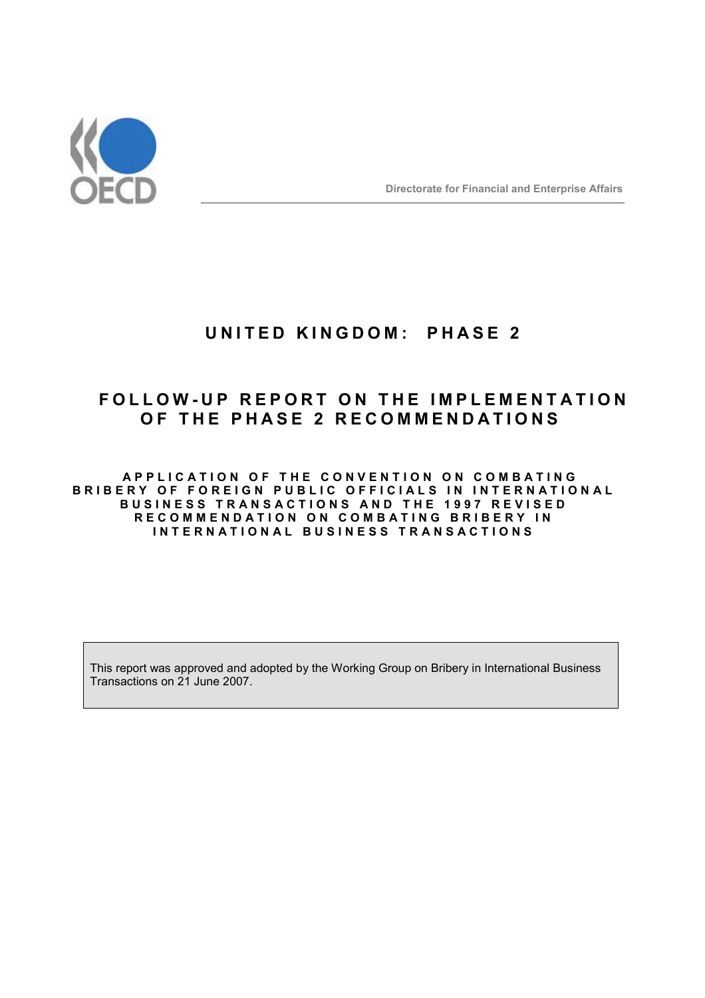

## **UNITED KINGDOM: PHASE 2**

# **FOLLOW-UP REPORT ON THE IMPLEMENTATION OF THE PHASE 2 RECOMMENDATIONS**

**APPLICATION OF THE CONVENTION ON COMBATING BRIBERY OF FOREIGN PUBLIC OFFICIALS IN INTERNATIONAL BUSINESS TRANSACTIONS AND THE 1997 REVISED RECOMMENDATION ON COMBATING BRIBERY IN INTERNATIONAL BUSINESS TRANSACTIONS** 

This report was approved and adopted by the Working Group on Bribery in International Business Transactions on 21 June 2007.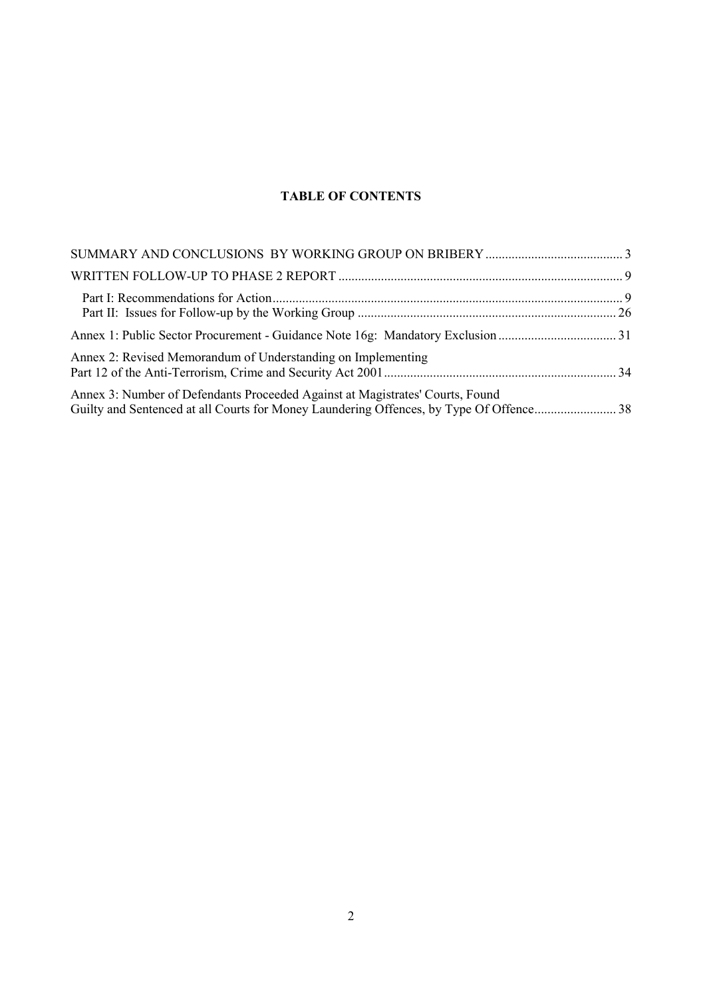### **TABLE OF CONTENTS**

| Annex 2: Revised Memorandum of Understanding on Implementing                  |  |
|-------------------------------------------------------------------------------|--|
| Annex 3: Number of Defendants Proceeded Against at Magistrates' Courts, Found |  |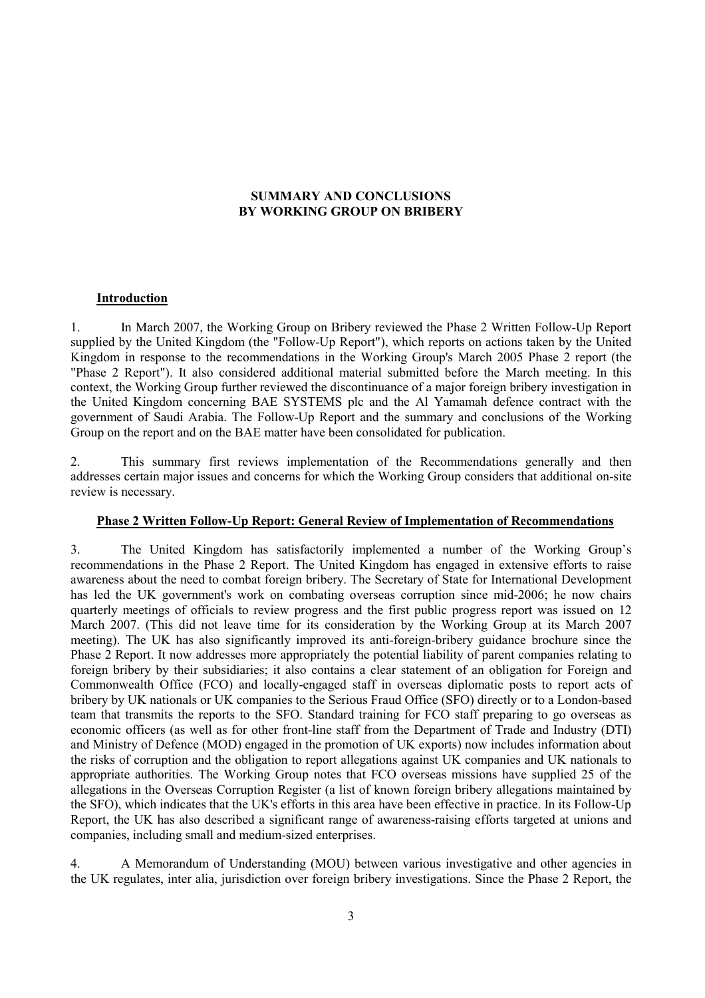### **SUMMARY AND CONCLUSIONS BY WORKING GROUP ON BRIBERY**

### **Introduction**

1. In March 2007, the Working Group on Bribery reviewed the Phase 2 Written Follow-Up Report supplied by the United Kingdom (the "Follow-Up Report"), which reports on actions taken by the United Kingdom in response to the recommendations in the Working Group's March 2005 Phase 2 report (the "Phase 2 Report"). It also considered additional material submitted before the March meeting. In this context, the Working Group further reviewed the discontinuance of a major foreign bribery investigation in the United Kingdom concerning BAE SYSTEMS plc and the Al Yamamah defence contract with the government of Saudi Arabia. The Follow-Up Report and the summary and conclusions of the Working Group on the report and on the BAE matter have been consolidated for publication.

2. This summary first reviews implementation of the Recommendations generally and then addresses certain major issues and concerns for which the Working Group considers that additional on-site review is necessary.

### **Phase 2 Written Follow-Up Report: General Review of Implementation of Recommendations**

3. The United Kingdom has satisfactorily implemented a number of the Working Group's recommendations in the Phase 2 Report. The United Kingdom has engaged in extensive efforts to raise awareness about the need to combat foreign bribery. The Secretary of State for International Development has led the UK government's work on combating overseas corruption since mid-2006; he now chairs quarterly meetings of officials to review progress and the first public progress report was issued on 12 March 2007. (This did not leave time for its consideration by the Working Group at its March 2007 meeting). The UK has also significantly improved its anti-foreign-bribery guidance brochure since the Phase 2 Report. It now addresses more appropriately the potential liability of parent companies relating to foreign bribery by their subsidiaries; it also contains a clear statement of an obligation for Foreign and Commonwealth Office (FCO) and locally-engaged staff in overseas diplomatic posts to report acts of bribery by UK nationals or UK companies to the Serious Fraud Office (SFO) directly or to a London-based team that transmits the reports to the SFO. Standard training for FCO staff preparing to go overseas as economic officers (as well as for other front-line staff from the Department of Trade and Industry (DTI) and Ministry of Defence (MOD) engaged in the promotion of UK exports) now includes information about the risks of corruption and the obligation to report allegations against UK companies and UK nationals to appropriate authorities. The Working Group notes that FCO overseas missions have supplied 25 of the allegations in the Overseas Corruption Register (a list of known foreign bribery allegations maintained by the SFO), which indicates that the UK's efforts in this area have been effective in practice. In its Follow-Up Report, the UK has also described a significant range of awareness-raising efforts targeted at unions and companies, including small and medium-sized enterprises.

4. A Memorandum of Understanding (MOU) between various investigative and other agencies in the UK regulates, inter alia, jurisdiction over foreign bribery investigations. Since the Phase 2 Report, the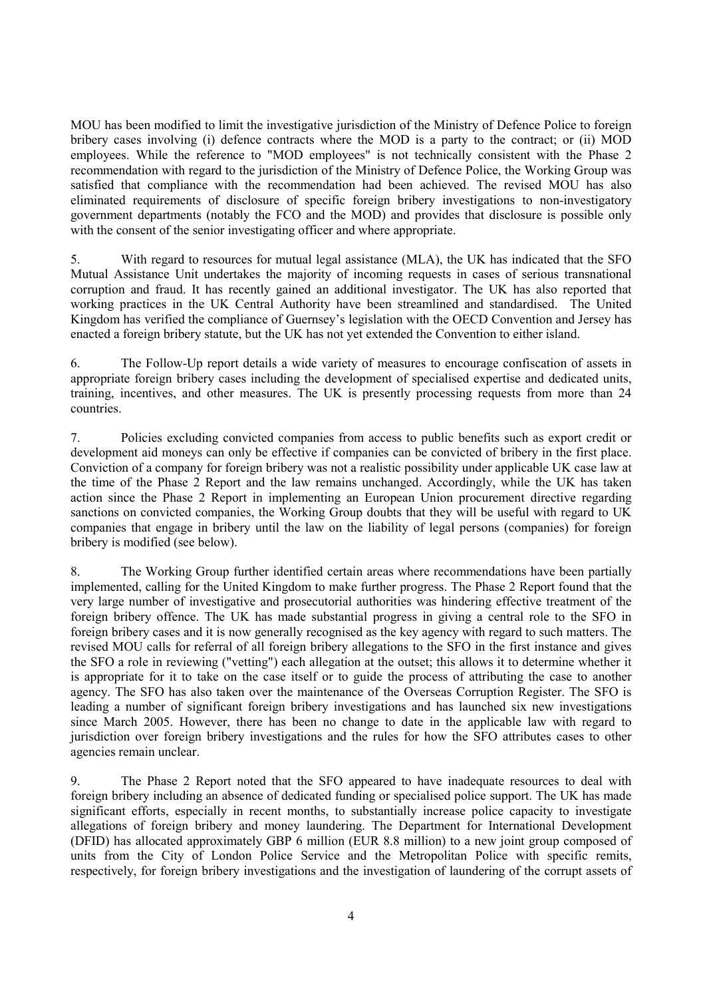MOU has been modified to limit the investigative jurisdiction of the Ministry of Defence Police to foreign bribery cases involving (i) defence contracts where the MOD is a party to the contract; or (ii) MOD employees. While the reference to "MOD employees" is not technically consistent with the Phase 2 recommendation with regard to the jurisdiction of the Ministry of Defence Police, the Working Group was satisfied that compliance with the recommendation had been achieved. The revised MOU has also eliminated requirements of disclosure of specific foreign bribery investigations to non-investigatory government departments (notably the FCO and the MOD) and provides that disclosure is possible only with the consent of the senior investigating officer and where appropriate.

5. With regard to resources for mutual legal assistance (MLA), the UK has indicated that the SFO Mutual Assistance Unit undertakes the majority of incoming requests in cases of serious transnational corruption and fraud. It has recently gained an additional investigator. The UK has also reported that working practices in the UK Central Authority have been streamlined and standardised. The United Kingdom has verified the compliance of Guernsey's legislation with the OECD Convention and Jersey has enacted a foreign bribery statute, but the UK has not yet extended the Convention to either island.

6. The Follow-Up report details a wide variety of measures to encourage confiscation of assets in appropriate foreign bribery cases including the development of specialised expertise and dedicated units, training, incentives, and other measures. The UK is presently processing requests from more than 24 countries.

7. Policies excluding convicted companies from access to public benefits such as export credit or development aid moneys can only be effective if companies can be convicted of bribery in the first place. Conviction of a company for foreign bribery was not a realistic possibility under applicable UK case law at the time of the Phase 2 Report and the law remains unchanged. Accordingly, while the UK has taken action since the Phase 2 Report in implementing an European Union procurement directive regarding sanctions on convicted companies, the Working Group doubts that they will be useful with regard to UK companies that engage in bribery until the law on the liability of legal persons (companies) for foreign bribery is modified (see below).

8. The Working Group further identified certain areas where recommendations have been partially implemented, calling for the United Kingdom to make further progress. The Phase 2 Report found that the very large number of investigative and prosecutorial authorities was hindering effective treatment of the foreign bribery offence. The UK has made substantial progress in giving a central role to the SFO in foreign bribery cases and it is now generally recognised as the key agency with regard to such matters. The revised MOU calls for referral of all foreign bribery allegations to the SFO in the first instance and gives the SFO a role in reviewing ("vetting") each allegation at the outset; this allows it to determine whether it is appropriate for it to take on the case itself or to guide the process of attributing the case to another agency. The SFO has also taken over the maintenance of the Overseas Corruption Register. The SFO is leading a number of significant foreign bribery investigations and has launched six new investigations since March 2005. However, there has been no change to date in the applicable law with regard to jurisdiction over foreign bribery investigations and the rules for how the SFO attributes cases to other agencies remain unclear.

9. The Phase 2 Report noted that the SFO appeared to have inadequate resources to deal with foreign bribery including an absence of dedicated funding or specialised police support. The UK has made significant efforts, especially in recent months, to substantially increase police capacity to investigate allegations of foreign bribery and money laundering. The Department for International Development (DFID) has allocated approximately GBP 6 million (EUR 8.8 million) to a new joint group composed of units from the City of London Police Service and the Metropolitan Police with specific remits, respectively, for foreign bribery investigations and the investigation of laundering of the corrupt assets of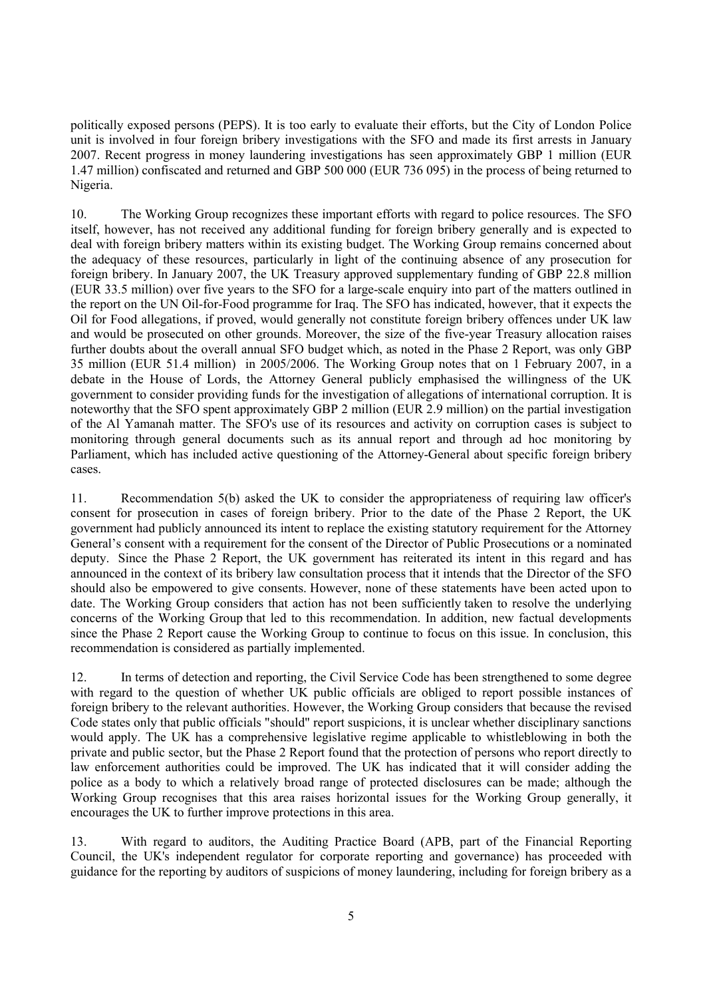politically exposed persons (PEPS). It is too early to evaluate their efforts, but the City of London Police unit is involved in four foreign bribery investigations with the SFO and made its first arrests in January 2007. Recent progress in money laundering investigations has seen approximately GBP 1 million (EUR 1.47 million) confiscated and returned and GBP 500 000 (EUR 736 095) in the process of being returned to Nigeria.

10. The Working Group recognizes these important efforts with regard to police resources. The SFO itself, however, has not received any additional funding for foreign bribery generally and is expected to deal with foreign bribery matters within its existing budget. The Working Group remains concerned about the adequacy of these resources, particularly in light of the continuing absence of any prosecution for foreign bribery. In January 2007, the UK Treasury approved supplementary funding of GBP 22.8 million (EUR 33.5 million) over five years to the SFO for a large-scale enquiry into part of the matters outlined in the report on the UN Oil-for-Food programme for Iraq. The SFO has indicated, however, that it expects the Oil for Food allegations, if proved, would generally not constitute foreign bribery offences under UK law and would be prosecuted on other grounds. Moreover, the size of the five-year Treasury allocation raises further doubts about the overall annual SFO budget which, as noted in the Phase 2 Report, was only GBP 35 million (EUR 51.4 million) in 2005/2006. The Working Group notes that on 1 February 2007, in a debate in the House of Lords, the Attorney General publicly emphasised the willingness of the UK government to consider providing funds for the investigation of allegations of international corruption. It is noteworthy that the SFO spent approximately GBP 2 million (EUR 2.9 million) on the partial investigation of the Al Yamanah matter. The SFO's use of its resources and activity on corruption cases is subject to monitoring through general documents such as its annual report and through ad hoc monitoring by Parliament, which has included active questioning of the Attorney-General about specific foreign bribery cases.

11. Recommendation 5(b) asked the UK to consider the appropriateness of requiring law officer's consent for prosecution in cases of foreign bribery. Prior to the date of the Phase 2 Report, the UK government had publicly announced its intent to replace the existing statutory requirement for the Attorney General's consent with a requirement for the consent of the Director of Public Prosecutions or a nominated deputy. Since the Phase 2 Report, the UK government has reiterated its intent in this regard and has announced in the context of its bribery law consultation process that it intends that the Director of the SFO should also be empowered to give consents. However, none of these statements have been acted upon to date. The Working Group considers that action has not been sufficiently taken to resolve the underlying concerns of the Working Group that led to this recommendation. In addition, new factual developments since the Phase 2 Report cause the Working Group to continue to focus on this issue. In conclusion, this recommendation is considered as partially implemented.

12. In terms of detection and reporting, the Civil Service Code has been strengthened to some degree with regard to the question of whether UK public officials are obliged to report possible instances of foreign bribery to the relevant authorities. However, the Working Group considers that because the revised Code states only that public officials "should" report suspicions, it is unclear whether disciplinary sanctions would apply. The UK has a comprehensive legislative regime applicable to whistleblowing in both the private and public sector, but the Phase 2 Report found that the protection of persons who report directly to law enforcement authorities could be improved. The UK has indicated that it will consider adding the police as a body to which a relatively broad range of protected disclosures can be made; although the Working Group recognises that this area raises horizontal issues for the Working Group generally, it encourages the UK to further improve protections in this area.

13. With regard to auditors, the Auditing Practice Board (APB, part of the Financial Reporting Council, the UK's independent regulator for corporate reporting and governance) has proceeded with guidance for the reporting by auditors of suspicions of money laundering, including for foreign bribery as a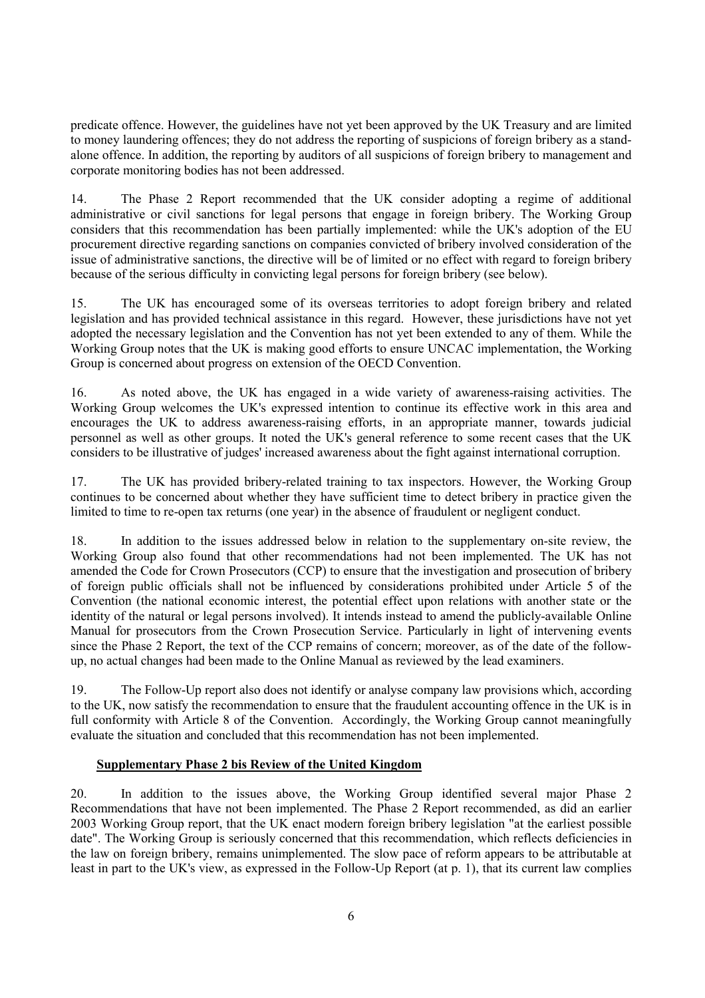predicate offence. However, the guidelines have not yet been approved by the UK Treasury and are limited to money laundering offences; they do not address the reporting of suspicions of foreign bribery as a standalone offence. In addition, the reporting by auditors of all suspicions of foreign bribery to management and corporate monitoring bodies has not been addressed.

14. The Phase 2 Report recommended that the UK consider adopting a regime of additional administrative or civil sanctions for legal persons that engage in foreign bribery. The Working Group considers that this recommendation has been partially implemented: while the UK's adoption of the EU procurement directive regarding sanctions on companies convicted of bribery involved consideration of the issue of administrative sanctions, the directive will be of limited or no effect with regard to foreign bribery because of the serious difficulty in convicting legal persons for foreign bribery (see below).

15. The UK has encouraged some of its overseas territories to adopt foreign bribery and related legislation and has provided technical assistance in this regard. However, these jurisdictions have not yet adopted the necessary legislation and the Convention has not yet been extended to any of them. While the Working Group notes that the UK is making good efforts to ensure UNCAC implementation, the Working Group is concerned about progress on extension of the OECD Convention.

16. As noted above, the UK has engaged in a wide variety of awareness-raising activities. The Working Group welcomes the UK's expressed intention to continue its effective work in this area and encourages the UK to address awareness-raising efforts, in an appropriate manner, towards judicial personnel as well as other groups. It noted the UK's general reference to some recent cases that the UK considers to be illustrative of judges' increased awareness about the fight against international corruption.

17. The UK has provided bribery-related training to tax inspectors. However, the Working Group continues to be concerned about whether they have sufficient time to detect bribery in practice given the limited to time to re-open tax returns (one year) in the absence of fraudulent or negligent conduct.

18. In addition to the issues addressed below in relation to the supplementary on-site review, the Working Group also found that other recommendations had not been implemented. The UK has not amended the Code for Crown Prosecutors (CCP) to ensure that the investigation and prosecution of bribery of foreign public officials shall not be influenced by considerations prohibited under Article 5 of the Convention (the national economic interest, the potential effect upon relations with another state or the identity of the natural or legal persons involved). It intends instead to amend the publicly-available Online Manual for prosecutors from the Crown Prosecution Service. Particularly in light of intervening events since the Phase 2 Report, the text of the CCP remains of concern; moreover, as of the date of the followup, no actual changes had been made to the Online Manual as reviewed by the lead examiners.

19. The Follow-Up report also does not identify or analyse company law provisions which, according to the UK, now satisfy the recommendation to ensure that the fraudulent accounting offence in the UK is in full conformity with Article 8 of the Convention. Accordingly, the Working Group cannot meaningfully evaluate the situation and concluded that this recommendation has not been implemented.

### **Supplementary Phase 2 bis Review of the United Kingdom**

20. In addition to the issues above, the Working Group identified several major Phase 2 Recommendations that have not been implemented. The Phase 2 Report recommended, as did an earlier 2003 Working Group report, that the UK enact modern foreign bribery legislation "at the earliest possible date". The Working Group is seriously concerned that this recommendation, which reflects deficiencies in the law on foreign bribery, remains unimplemented. The slow pace of reform appears to be attributable at least in part to the UK's view, as expressed in the Follow-Up Report (at p. 1), that its current law complies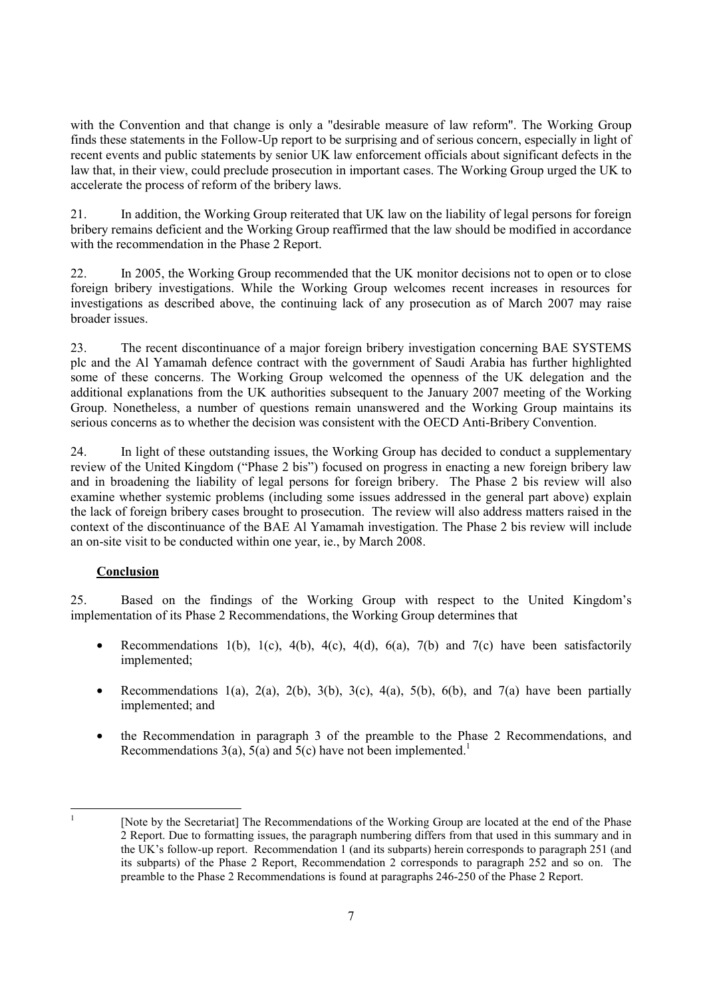with the Convention and that change is only a "desirable measure of law reform". The Working Group finds these statements in the Follow-Up report to be surprising and of serious concern, especially in light of recent events and public statements by senior UK law enforcement officials about significant defects in the law that, in their view, could preclude prosecution in important cases. The Working Group urged the UK to accelerate the process of reform of the bribery laws.

21. In addition, the Working Group reiterated that UK law on the liability of legal persons for foreign bribery remains deficient and the Working Group reaffirmed that the law should be modified in accordance with the recommendation in the Phase 2 Report.

22. In 2005, the Working Group recommended that the UK monitor decisions not to open or to close foreign bribery investigations. While the Working Group welcomes recent increases in resources for investigations as described above, the continuing lack of any prosecution as of March 2007 may raise broader issues.

23. The recent discontinuance of a major foreign bribery investigation concerning BAE SYSTEMS plc and the Al Yamamah defence contract with the government of Saudi Arabia has further highlighted some of these concerns. The Working Group welcomed the openness of the UK delegation and the additional explanations from the UK authorities subsequent to the January 2007 meeting of the Working Group. Nonetheless, a number of questions remain unanswered and the Working Group maintains its serious concerns as to whether the decision was consistent with the OECD Anti-Bribery Convention.

24. In light of these outstanding issues, the Working Group has decided to conduct a supplementary review of the United Kingdom ("Phase 2 bis") focused on progress in enacting a new foreign bribery law and in broadening the liability of legal persons for foreign bribery. The Phase 2 bis review will also examine whether systemic problems (including some issues addressed in the general part above) explain the lack of foreign bribery cases brought to prosecution. The review will also address matters raised in the context of the discontinuance of the BAE Al Yamamah investigation. The Phase 2 bis review will include an on-site visit to be conducted within one year, ie., by March 2008.

### **Conclusion**

25. Based on the findings of the Working Group with respect to the United Kingdom's implementation of its Phase 2 Recommendations, the Working Group determines that

- Recommendations 1(b), 1(c), 4(b), 4(c), 4(d), 6(a), 7(b) and 7(c) have been satisfactorily implemented;
- Recommendations 1(a), 2(a), 2(b), 3(b), 3(c), 4(a), 5(b), 6(b), and 7(a) have been partially implemented; and
- the Recommendation in paragraph 3 of the preamble to the Phase 2 Recommendations, and Recommendations  $3(a)$ ,  $5(a)$  and  $5(c)$  have not been implemented.<sup>1</sup>

|<br>|<br>|

 <sup>[</sup>Note by the Secretariat] The Recommendations of the Working Group are located at the end of the Phase 2 Report. Due to formatting issues, the paragraph numbering differs from that used in this summary and in the UK's follow-up report. Recommendation 1 (and its subparts) herein corresponds to paragraph 251 (and its subparts) of the Phase 2 Report, Recommendation 2 corresponds to paragraph 252 and so on. The preamble to the Phase 2 Recommendations is found at paragraphs 246-250 of the Phase 2 Report.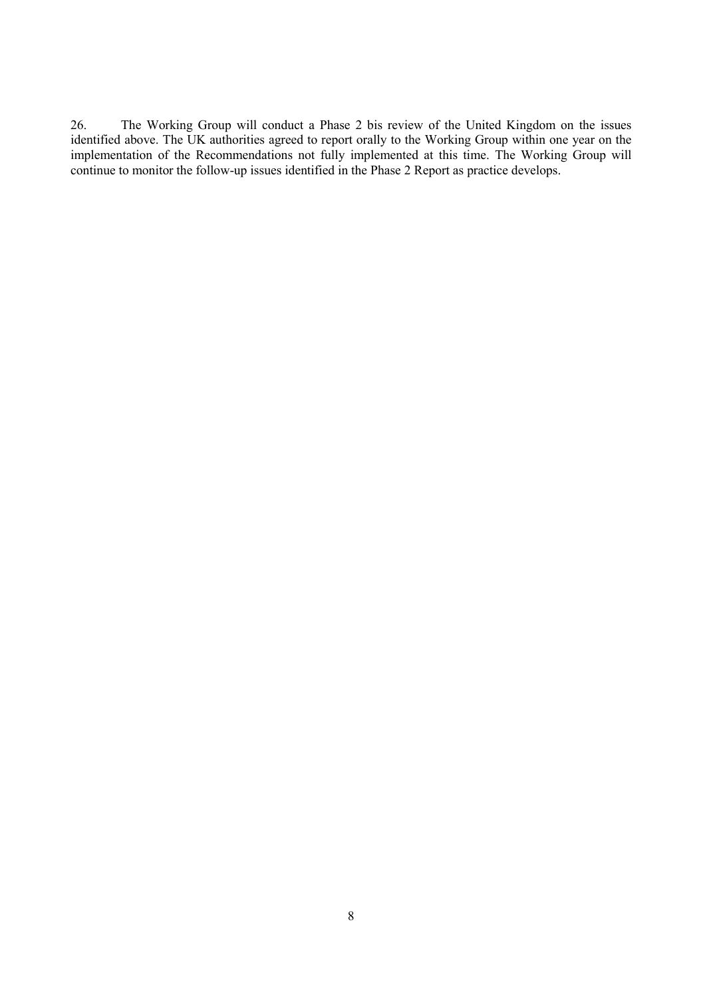26. The Working Group will conduct a Phase 2 bis review of the United Kingdom on the issues identified above. The UK authorities agreed to report orally to the Working Group within one year on the implementation of the Recommendations not fully implemented at this time. The Working Group will continue to monitor the follow-up issues identified in the Phase 2 Report as practice develops.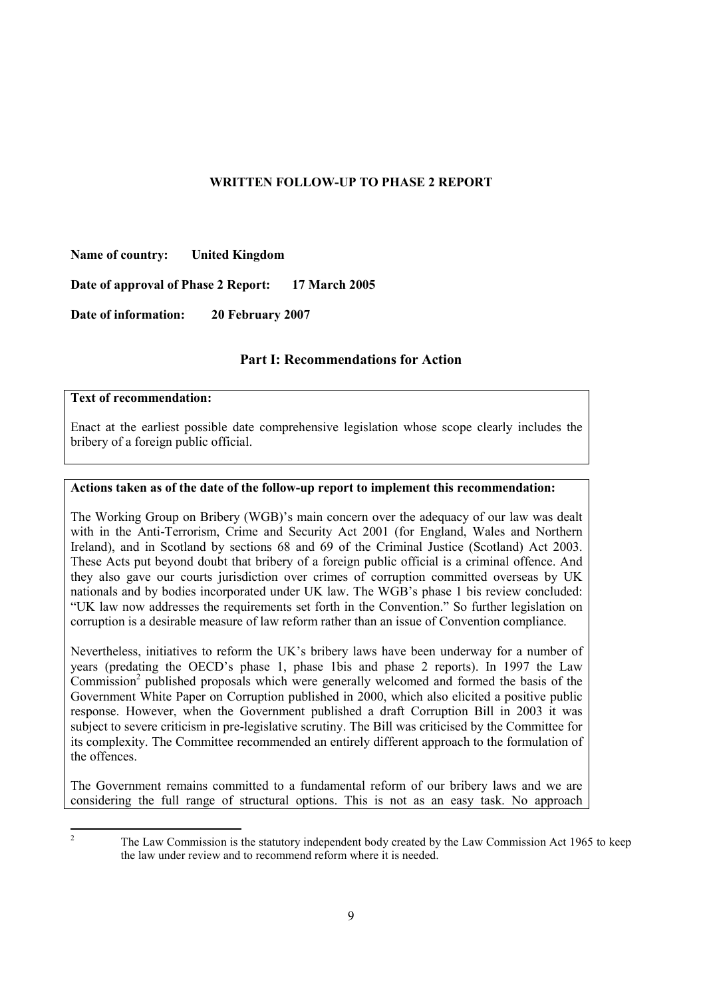### **WRITTEN FOLLOW-UP TO PHASE 2 REPORT**

**Name of country: United Kingdom** 

**Date of approval of Phase 2 Report: 17 March 2005** 

**Date of information: 20 February 2007** 

### **Part I: Recommendations for Action**

### **Text of recommendation:**

Enact at the earliest possible date comprehensive legislation whose scope clearly includes the bribery of a foreign public official.

### **Actions taken as of the date of the follow-up report to implement this recommendation:**

The Working Group on Bribery (WGB)'s main concern over the adequacy of our law was dealt with in the Anti-Terrorism, Crime and Security Act 2001 (for England, Wales and Northern Ireland), and in Scotland by sections 68 and 69 of the Criminal Justice (Scotland) Act 2003. These Acts put beyond doubt that bribery of a foreign public official is a criminal offence. And they also gave our courts jurisdiction over crimes of corruption committed overseas by UK nationals and by bodies incorporated under UK law. The WGB's phase 1 bis review concluded: "UK law now addresses the requirements set forth in the Convention." So further legislation on corruption is a desirable measure of law reform rather than an issue of Convention compliance.

Nevertheless, initiatives to reform the UK's bribery laws have been underway for a number of years (predating the OECD's phase 1, phase 1bis and phase 2 reports). In 1997 the Law Commission<sup>2</sup> published proposals which were generally welcomed and formed the basis of the Government White Paper on Corruption published in 2000, which also elicited a positive public response. However, when the Government published a draft Corruption Bill in 2003 it was subject to severe criticism in pre-legislative scrutiny. The Bill was criticised by the Committee for its complexity. The Committee recommended an entirely different approach to the formulation of the offences.

The Government remains committed to a fundamental reform of our bribery laws and we are considering the full range of structural options. This is not as an easy task. No approach

 $\frac{1}{2}$ 

The Law Commission is the statutory independent body created by the Law Commission Act 1965 to keep the law under review and to recommend reform where it is needed.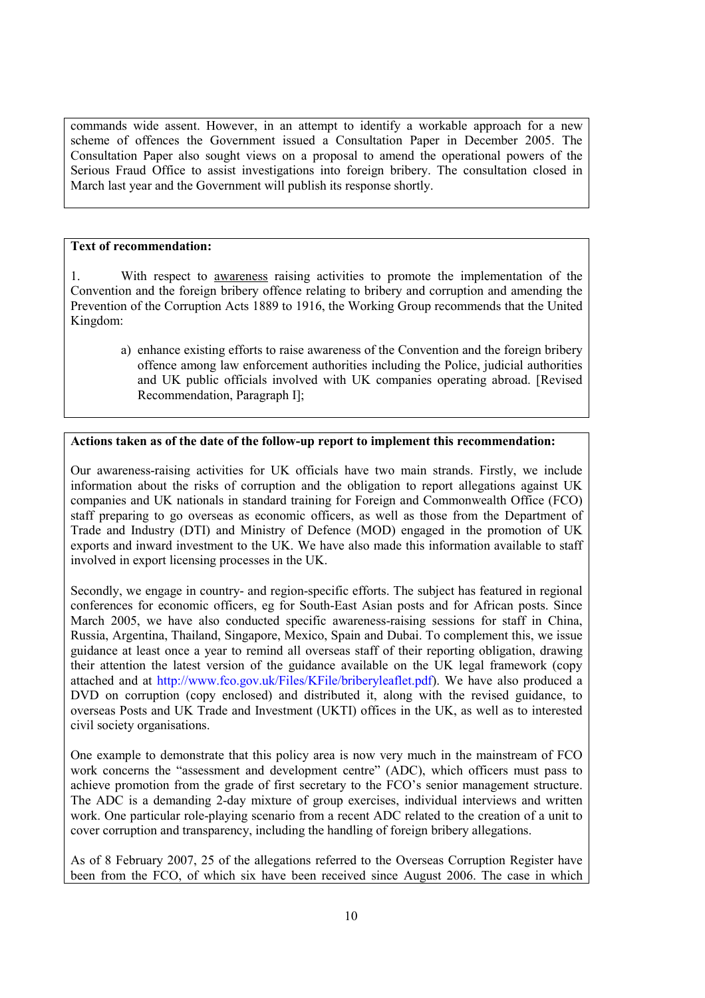commands wide assent. However, in an attempt to identify a workable approach for a new scheme of offences the Government issued a Consultation Paper in December 2005. The Consultation Paper also sought views on a proposal to amend the operational powers of the Serious Fraud Office to assist investigations into foreign bribery. The consultation closed in March last year and the Government will publish its response shortly.

### **Text of recommendation:**

1. With respect to awareness raising activities to promote the implementation of the Convention and the foreign bribery offence relating to bribery and corruption and amending the Prevention of the Corruption Acts 1889 to 1916, the Working Group recommends that the United Kingdom:

a) enhance existing efforts to raise awareness of the Convention and the foreign bribery offence among law enforcement authorities including the Police, judicial authorities and UK public officials involved with UK companies operating abroad. [Revised Recommendation, Paragraph I];

### **Actions taken as of the date of the follow-up report to implement this recommendation:**

Our awareness-raising activities for UK officials have two main strands. Firstly, we include information about the risks of corruption and the obligation to report allegations against UK companies and UK nationals in standard training for Foreign and Commonwealth Office (FCO) staff preparing to go overseas as economic officers, as well as those from the Department of Trade and Industry (DTI) and Ministry of Defence (MOD) engaged in the promotion of UK exports and inward investment to the UK. We have also made this information available to staff involved in export licensing processes in the UK.

Secondly, we engage in country- and region-specific efforts. The subject has featured in regional conferences for economic officers, eg for South-East Asian posts and for African posts. Since March 2005, we have also conducted specific awareness-raising sessions for staff in China, Russia, Argentina, Thailand, Singapore, Mexico, Spain and Dubai. To complement this, we issue guidance at least once a year to remind all overseas staff of their reporting obligation, drawing their attention the latest version of the guidance available on the UK legal framework (copy attached and at http://www.fco.gov.uk/Files/KFile/briberyleaflet.pdf). We have also produced a DVD on corruption (copy enclosed) and distributed it, along with the revised guidance, to overseas Posts and UK Trade and Investment (UKTI) offices in the UK, as well as to interested civil society organisations.

One example to demonstrate that this policy area is now very much in the mainstream of FCO work concerns the "assessment and development centre" (ADC), which officers must pass to achieve promotion from the grade of first secretary to the FCO's senior management structure. The ADC is a demanding 2-day mixture of group exercises, individual interviews and written work. One particular role-playing scenario from a recent ADC related to the creation of a unit to cover corruption and transparency, including the handling of foreign bribery allegations.

As of 8 February 2007, 25 of the allegations referred to the Overseas Corruption Register have been from the FCO, of which six have been received since August 2006. The case in which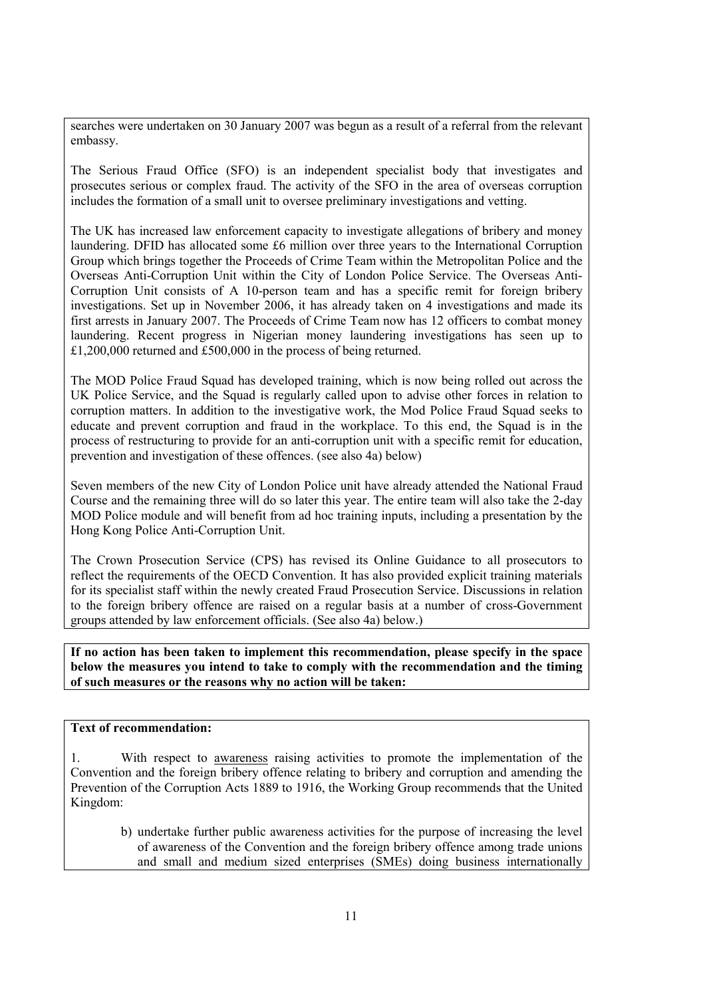searches were undertaken on 30 January 2007 was begun as a result of a referral from the relevant embassy.

The Serious Fraud Office (SFO) is an independent specialist body that investigates and prosecutes serious or complex fraud. The activity of the SFO in the area of overseas corruption includes the formation of a small unit to oversee preliminary investigations and vetting.

The UK has increased law enforcement capacity to investigate allegations of bribery and money laundering. DFID has allocated some £6 million over three years to the International Corruption Group which brings together the Proceeds of Crime Team within the Metropolitan Police and the Overseas Anti-Corruption Unit within the City of London Police Service. The Overseas Anti-Corruption Unit consists of A 10-person team and has a specific remit for foreign bribery investigations. Set up in November 2006, it has already taken on 4 investigations and made its first arrests in January 2007. The Proceeds of Crime Team now has 12 officers to combat money laundering. Recent progress in Nigerian money laundering investigations has seen up to £1,200,000 returned and £500,000 in the process of being returned.

The MOD Police Fraud Squad has developed training, which is now being rolled out across the UK Police Service, and the Squad is regularly called upon to advise other forces in relation to corruption matters. In addition to the investigative work, the Mod Police Fraud Squad seeks to educate and prevent corruption and fraud in the workplace. To this end, the Squad is in the process of restructuring to provide for an anti-corruption unit with a specific remit for education, prevention and investigation of these offences. (see also 4a) below)

Seven members of the new City of London Police unit have already attended the National Fraud Course and the remaining three will do so later this year. The entire team will also take the 2-day MOD Police module and will benefit from ad hoc training inputs, including a presentation by the Hong Kong Police Anti-Corruption Unit.

The Crown Prosecution Service (CPS) has revised its Online Guidance to all prosecutors to reflect the requirements of the OECD Convention. It has also provided explicit training materials for its specialist staff within the newly created Fraud Prosecution Service. Discussions in relation to the foreign bribery offence are raised on a regular basis at a number of cross-Government groups attended by law enforcement officials. (See also 4a) below.)

**If no action has been taken to implement this recommendation, please specify in the space below the measures you intend to take to comply with the recommendation and the timing of such measures or the reasons why no action will be taken:** 

### **Text of recommendation:**

With respect to awareness raising activities to promote the implementation of the Convention and the foreign bribery offence relating to bribery and corruption and amending the Prevention of the Corruption Acts 1889 to 1916, the Working Group recommends that the United Kingdom:

b) undertake further public awareness activities for the purpose of increasing the level of awareness of the Convention and the foreign bribery offence among trade unions and small and medium sized enterprises (SMEs) doing business internationally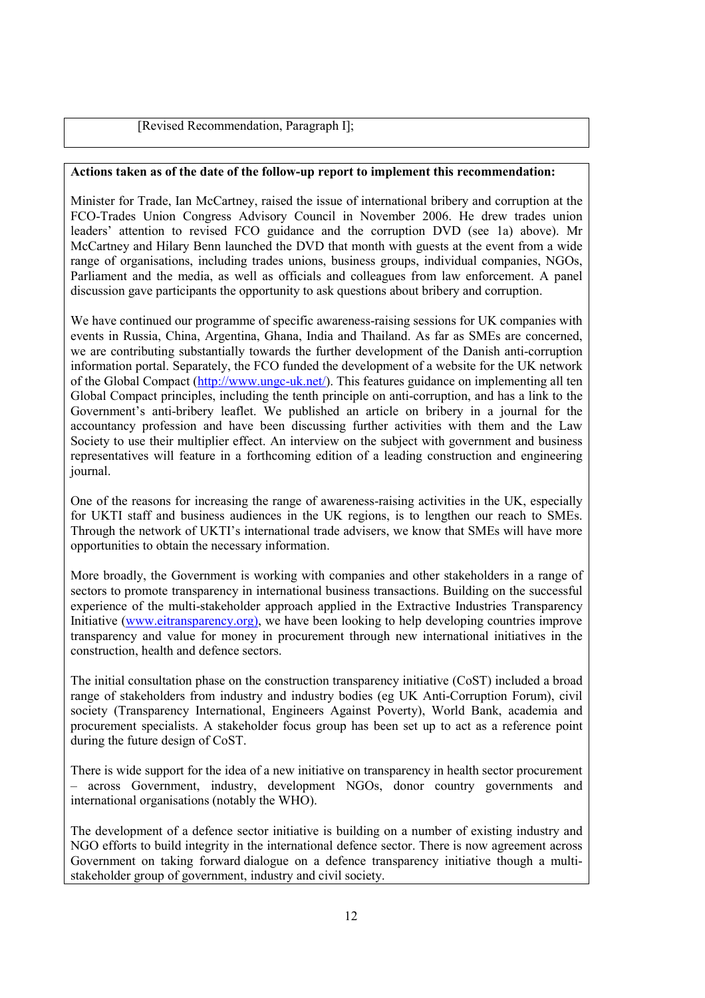[Revised Recommendation, Paragraph I];

### **Actions taken as of the date of the follow-up report to implement this recommendation:**

Minister for Trade, Ian McCartney, raised the issue of international bribery and corruption at the FCO-Trades Union Congress Advisory Council in November 2006. He drew trades union leaders' attention to revised FCO guidance and the corruption DVD (see 1a) above). Mr McCartney and Hilary Benn launched the DVD that month with guests at the event from a wide range of organisations, including trades unions, business groups, individual companies, NGOs, Parliament and the media, as well as officials and colleagues from law enforcement. A panel discussion gave participants the opportunity to ask questions about bribery and corruption.

We have continued our programme of specific awareness-raising sessions for UK companies with events in Russia, China, Argentina, Ghana, India and Thailand. As far as SMEs are concerned, we are contributing substantially towards the further development of the Danish anti-corruption information portal. Separately, the FCO funded the development of a website for the UK network of the Global Compact (http://www.ungc-uk.net/). This features guidance on implementing all ten Global Compact principles, including the tenth principle on anti-corruption, and has a link to the Government's anti-bribery leaflet. We published an article on bribery in a journal for the accountancy profession and have been discussing further activities with them and the Law Society to use their multiplier effect. An interview on the subject with government and business representatives will feature in a forthcoming edition of a leading construction and engineering journal.

One of the reasons for increasing the range of awareness-raising activities in the UK, especially for UKTI staff and business audiences in the UK regions, is to lengthen our reach to SMEs. Through the network of UKTI's international trade advisers, we know that SMEs will have more opportunities to obtain the necessary information.

More broadly, the Government is working with companies and other stakeholders in a range of sectors to promote transparency in international business transactions. Building on the successful experience of the multi-stakeholder approach applied in the Extractive Industries Transparency Initiative (www.eitransparency.org), we have been looking to help developing countries improve transparency and value for money in procurement through new international initiatives in the construction, health and defence sectors.

The initial consultation phase on the construction transparency initiative (CoST) included a broad range of stakeholders from industry and industry bodies (eg UK Anti-Corruption Forum), civil society (Transparency International, Engineers Against Poverty), World Bank, academia and procurement specialists. A stakeholder focus group has been set up to act as a reference point during the future design of CoST.

There is wide support for the idea of a new initiative on transparency in health sector procurement – across Government, industry, development NGOs, donor country governments and international organisations (notably the WHO).

The development of a defence sector initiative is building on a number of existing industry and NGO efforts to build integrity in the international defence sector. There is now agreement across Government on taking forward dialogue on a defence transparency initiative though a multistakeholder group of government, industry and civil society.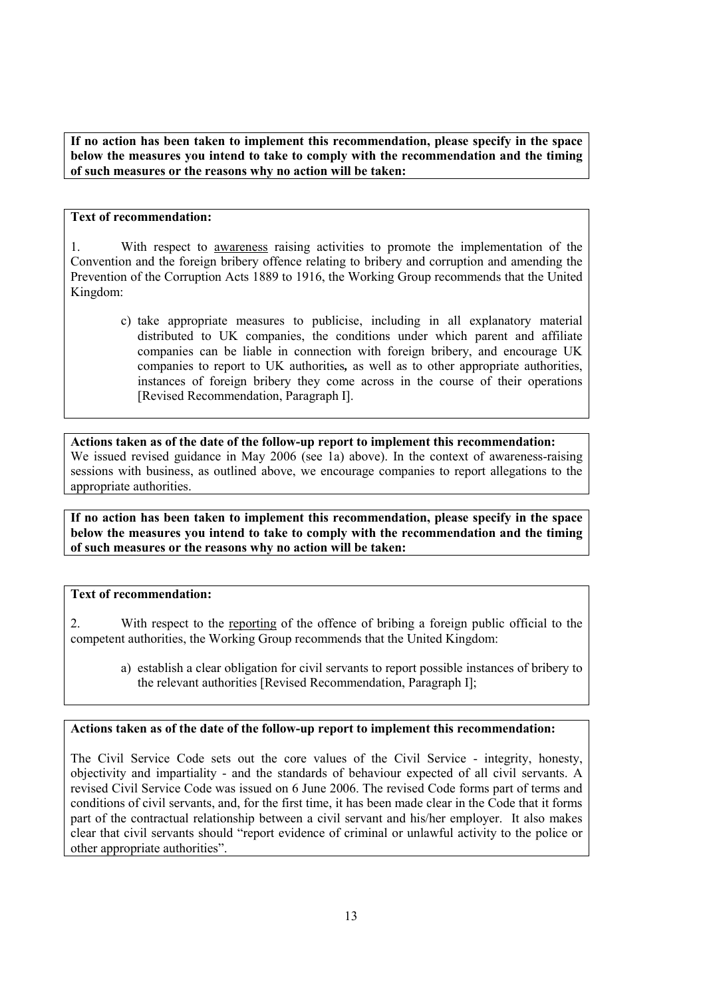**If no action has been taken to implement this recommendation, please specify in the space below the measures you intend to take to comply with the recommendation and the timing of such measures or the reasons why no action will be taken:** 

### **Text of recommendation:**

1. With respect to awareness raising activities to promote the implementation of the Convention and the foreign bribery offence relating to bribery and corruption and amending the Prevention of the Corruption Acts 1889 to 1916, the Working Group recommends that the United Kingdom:

c) take appropriate measures to publicise, including in all explanatory material distributed to UK companies, the conditions under which parent and affiliate companies can be liable in connection with foreign bribery, and encourage UK companies to report to UK authorities*,* as well as to other appropriate authorities, instances of foreign bribery they come across in the course of their operations [Revised Recommendation, Paragraph I].

**Actions taken as of the date of the follow-up report to implement this recommendation:**  We issued revised guidance in May 2006 (see 1a) above). In the context of awareness-raising sessions with business, as outlined above, we encourage companies to report allegations to the appropriate authorities.

**If no action has been taken to implement this recommendation, please specify in the space below the measures you intend to take to comply with the recommendation and the timing of such measures or the reasons why no action will be taken:** 

### **Text of recommendation:**

2. With respect to the reporting of the offence of bribing a foreign public official to the competent authorities, the Working Group recommends that the United Kingdom:

a) establish a clear obligation for civil servants to report possible instances of bribery to the relevant authorities [Revised Recommendation, Paragraph I];

### **Actions taken as of the date of the follow-up report to implement this recommendation:**

The Civil Service Code sets out the core values of the Civil Service - integrity, honesty, objectivity and impartiality - and the standards of behaviour expected of all civil servants. A revised Civil Service Code was issued on 6 June 2006. The revised Code forms part of terms and conditions of civil servants, and, for the first time, it has been made clear in the Code that it forms part of the contractual relationship between a civil servant and his/her employer. It also makes clear that civil servants should "report evidence of criminal or unlawful activity to the police or other appropriate authorities".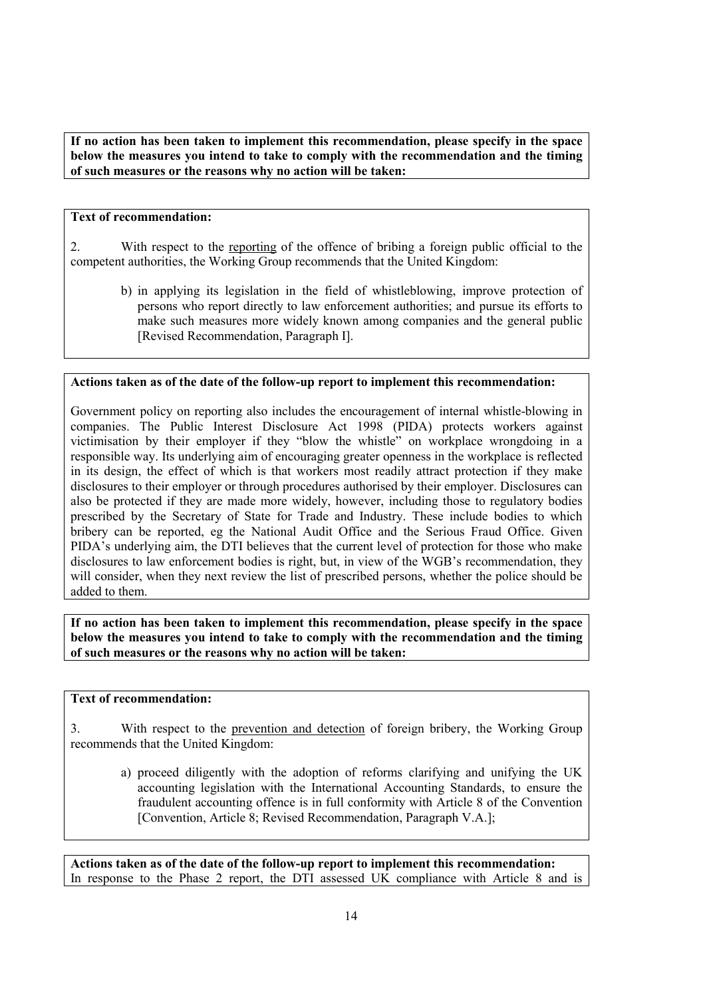**If no action has been taken to implement this recommendation, please specify in the space below the measures you intend to take to comply with the recommendation and the timing of such measures or the reasons why no action will be taken:** 

### **Text of recommendation:**

2. With respect to the reporting of the offence of bribing a foreign public official to the competent authorities, the Working Group recommends that the United Kingdom:

b) in applying its legislation in the field of whistleblowing, improve protection of persons who report directly to law enforcement authorities; and pursue its efforts to make such measures more widely known among companies and the general public [Revised Recommendation, Paragraph I].

### **Actions taken as of the date of the follow-up report to implement this recommendation:**

Government policy on reporting also includes the encouragement of internal whistle-blowing in companies. The Public Interest Disclosure Act 1998 (PIDA) protects workers against victimisation by their employer if they "blow the whistle" on workplace wrongdoing in a responsible way. Its underlying aim of encouraging greater openness in the workplace is reflected in its design, the effect of which is that workers most readily attract protection if they make disclosures to their employer or through procedures authorised by their employer. Disclosures can also be protected if they are made more widely, however, including those to regulatory bodies prescribed by the Secretary of State for Trade and Industry. These include bodies to which bribery can be reported, eg the National Audit Office and the Serious Fraud Office. Given PIDA's underlying aim, the DTI believes that the current level of protection for those who make disclosures to law enforcement bodies is right, but, in view of the WGB's recommendation, they will consider, when they next review the list of prescribed persons, whether the police should be added to them.

**If no action has been taken to implement this recommendation, please specify in the space below the measures you intend to take to comply with the recommendation and the timing of such measures or the reasons why no action will be taken:** 

### **Text of recommendation:**

3. With respect to the prevention and detection of foreign bribery, the Working Group recommends that the United Kingdom:

a) proceed diligently with the adoption of reforms clarifying and unifying the UK accounting legislation with the International Accounting Standards, to ensure the fraudulent accounting offence is in full conformity with Article 8 of the Convention [Convention, Article 8; Revised Recommendation, Paragraph V.A.];

**Actions taken as of the date of the follow-up report to implement this recommendation:**  In response to the Phase 2 report, the DTI assessed UK compliance with Article 8 and is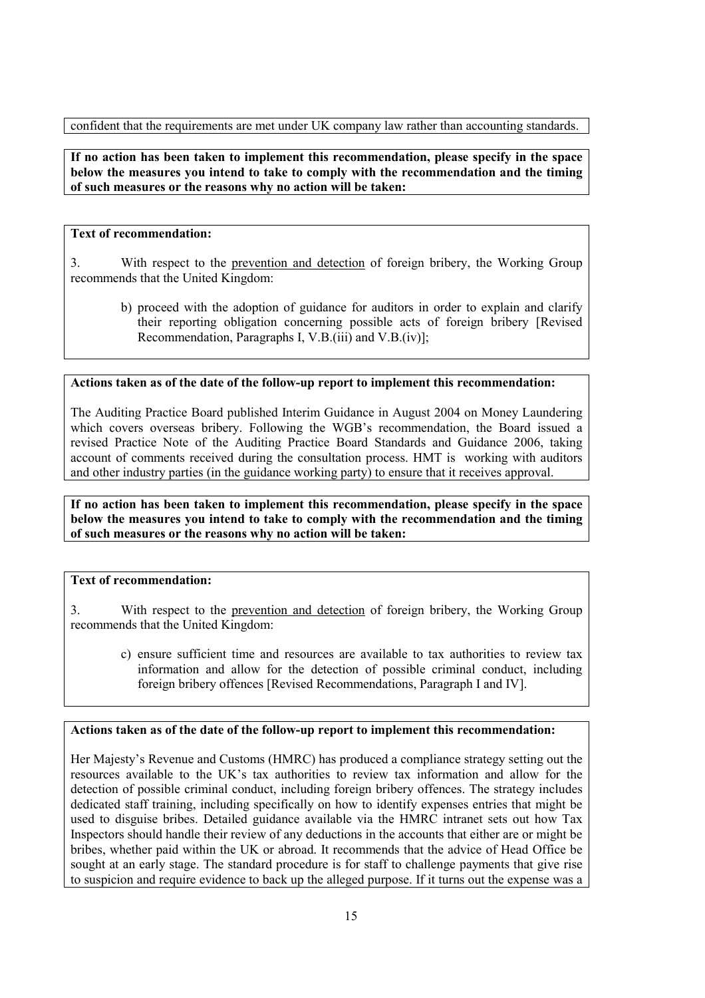confident that the requirements are met under UK company law rather than accounting standards.

**If no action has been taken to implement this recommendation, please specify in the space below the measures you intend to take to comply with the recommendation and the timing of such measures or the reasons why no action will be taken:** 

### **Text of recommendation:**

3. With respect to the prevention and detection of foreign bribery, the Working Group recommends that the United Kingdom:

b) proceed with the adoption of guidance for auditors in order to explain and clarify their reporting obligation concerning possible acts of foreign bribery [Revised Recommendation, Paragraphs I, V.B.(iii) and V.B.(iv)];

### **Actions taken as of the date of the follow-up report to implement this recommendation:**

The Auditing Practice Board published Interim Guidance in August 2004 on Money Laundering which covers overseas bribery. Following the WGB's recommendation, the Board issued a revised Practice Note of the Auditing Practice Board Standards and Guidance 2006, taking account of comments received during the consultation process. HMT is working with auditors and other industry parties (in the guidance working party) to ensure that it receives approval.

### **If no action has been taken to implement this recommendation, please specify in the space below the measures you intend to take to comply with the recommendation and the timing of such measures or the reasons why no action will be taken:**

### **Text of recommendation:**

3. With respect to the prevention and detection of foreign bribery, the Working Group recommends that the United Kingdom:

c) ensure sufficient time and resources are available to tax authorities to review tax information and allow for the detection of possible criminal conduct, including foreign bribery offences [Revised Recommendations, Paragraph I and IV].

### **Actions taken as of the date of the follow-up report to implement this recommendation:**

Her Majesty's Revenue and Customs (HMRC) has produced a compliance strategy setting out the resources available to the UK's tax authorities to review tax information and allow for the detection of possible criminal conduct, including foreign bribery offences. The strategy includes dedicated staff training, including specifically on how to identify expenses entries that might be used to disguise bribes. Detailed guidance available via the HMRC intranet sets out how Tax Inspectors should handle their review of any deductions in the accounts that either are or might be bribes, whether paid within the UK or abroad. It recommends that the advice of Head Office be sought at an early stage. The standard procedure is for staff to challenge payments that give rise to suspicion and require evidence to back up the alleged purpose. If it turns out the expense was a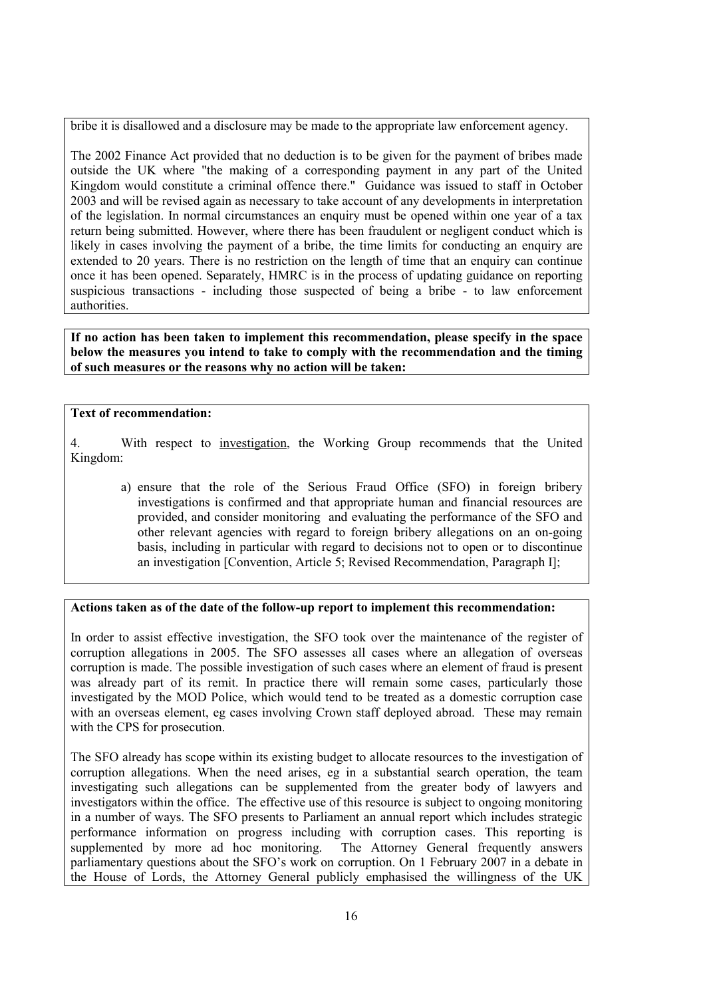bribe it is disallowed and a disclosure may be made to the appropriate law enforcement agency.

The 2002 Finance Act provided that no deduction is to be given for the payment of bribes made outside the UK where "the making of a corresponding payment in any part of the United Kingdom would constitute a criminal offence there." Guidance was issued to staff in October 2003 and will be revised again as necessary to take account of any developments in interpretation of the legislation. In normal circumstances an enquiry must be opened within one year of a tax return being submitted. However, where there has been fraudulent or negligent conduct which is likely in cases involving the payment of a bribe, the time limits for conducting an enquiry are extended to 20 years. There is no restriction on the length of time that an enquiry can continue once it has been opened. Separately, HMRC is in the process of updating guidance on reporting suspicious transactions - including those suspected of being a bribe - to law enforcement authorities.

**If no action has been taken to implement this recommendation, please specify in the space below the measures you intend to take to comply with the recommendation and the timing of such measures or the reasons why no action will be taken:** 

### **Text of recommendation:**

4. With respect to investigation, the Working Group recommends that the United Kingdom:

a) ensure that the role of the Serious Fraud Office (SFO) in foreign bribery investigations is confirmed and that appropriate human and financial resources are provided, and consider monitoring and evaluating the performance of the SFO and other relevant agencies with regard to foreign bribery allegations on an on-going basis, including in particular with regard to decisions not to open or to discontinue an investigation [Convention, Article 5; Revised Recommendation, Paragraph I];

### **Actions taken as of the date of the follow-up report to implement this recommendation:**

In order to assist effective investigation, the SFO took over the maintenance of the register of corruption allegations in 2005. The SFO assesses all cases where an allegation of overseas corruption is made. The possible investigation of such cases where an element of fraud is present was already part of its remit. In practice there will remain some cases, particularly those investigated by the MOD Police, which would tend to be treated as a domestic corruption case with an overseas element, eg cases involving Crown staff deployed abroad. These may remain with the CPS for prosecution.

The SFO already has scope within its existing budget to allocate resources to the investigation of corruption allegations. When the need arises, eg in a substantial search operation, the team investigating such allegations can be supplemented from the greater body of lawyers and investigators within the office. The effective use of this resource is subject to ongoing monitoring in a number of ways. The SFO presents to Parliament an annual report which includes strategic performance information on progress including with corruption cases. This reporting is supplemented by more ad hoc monitoring. The Attorney General frequently answers parliamentary questions about the SFO's work on corruption. On 1 February 2007 in a debate in the House of Lords, the Attorney General publicly emphasised the willingness of the UK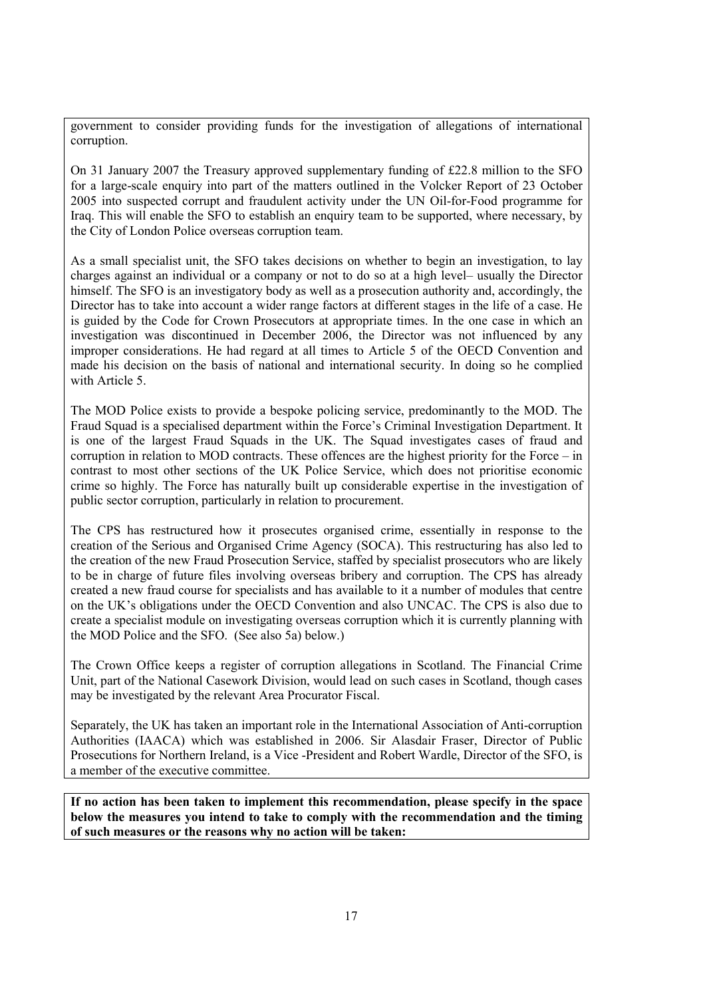government to consider providing funds for the investigation of allegations of international corruption.

On 31 January 2007 the Treasury approved supplementary funding of £22.8 million to the SFO for a large-scale enquiry into part of the matters outlined in the Volcker Report of 23 October 2005 into suspected corrupt and fraudulent activity under the UN Oil-for-Food programme for Iraq. This will enable the SFO to establish an enquiry team to be supported, where necessary, by the City of London Police overseas corruption team.

As a small specialist unit, the SFO takes decisions on whether to begin an investigation, to lay charges against an individual or a company or not to do so at a high level– usually the Director himself. The SFO is an investigatory body as well as a prosecution authority and, accordingly, the Director has to take into account a wider range factors at different stages in the life of a case. He is guided by the Code for Crown Prosecutors at appropriate times. In the one case in which an investigation was discontinued in December 2006, the Director was not influenced by any improper considerations. He had regard at all times to Article 5 of the OECD Convention and made his decision on the basis of national and international security. In doing so he complied with Article 5

The MOD Police exists to provide a bespoke policing service, predominantly to the MOD. The Fraud Squad is a specialised department within the Force's Criminal Investigation Department. It is one of the largest Fraud Squads in the UK. The Squad investigates cases of fraud and corruption in relation to MOD contracts. These offences are the highest priority for the Force – in contrast to most other sections of the UK Police Service, which does not prioritise economic crime so highly. The Force has naturally built up considerable expertise in the investigation of public sector corruption, particularly in relation to procurement.

The CPS has restructured how it prosecutes organised crime, essentially in response to the creation of the Serious and Organised Crime Agency (SOCA). This restructuring has also led to the creation of the new Fraud Prosecution Service, staffed by specialist prosecutors who are likely to be in charge of future files involving overseas bribery and corruption. The CPS has already created a new fraud course for specialists and has available to it a number of modules that centre on the UK's obligations under the OECD Convention and also UNCAC. The CPS is also due to create a specialist module on investigating overseas corruption which it is currently planning with the MOD Police and the SFO. (See also 5a) below.)

The Crown Office keeps a register of corruption allegations in Scotland. The Financial Crime Unit, part of the National Casework Division, would lead on such cases in Scotland, though cases may be investigated by the relevant Area Procurator Fiscal.

Separately, the UK has taken an important role in the International Association of Anti-corruption Authorities (IAACA) which was established in 2006. Sir Alasdair Fraser, Director of Public Prosecutions for Northern Ireland, is a Vice -President and Robert Wardle, Director of the SFO, is a member of the executive committee.

**If no action has been taken to implement this recommendation, please specify in the space below the measures you intend to take to comply with the recommendation and the timing of such measures or the reasons why no action will be taken:**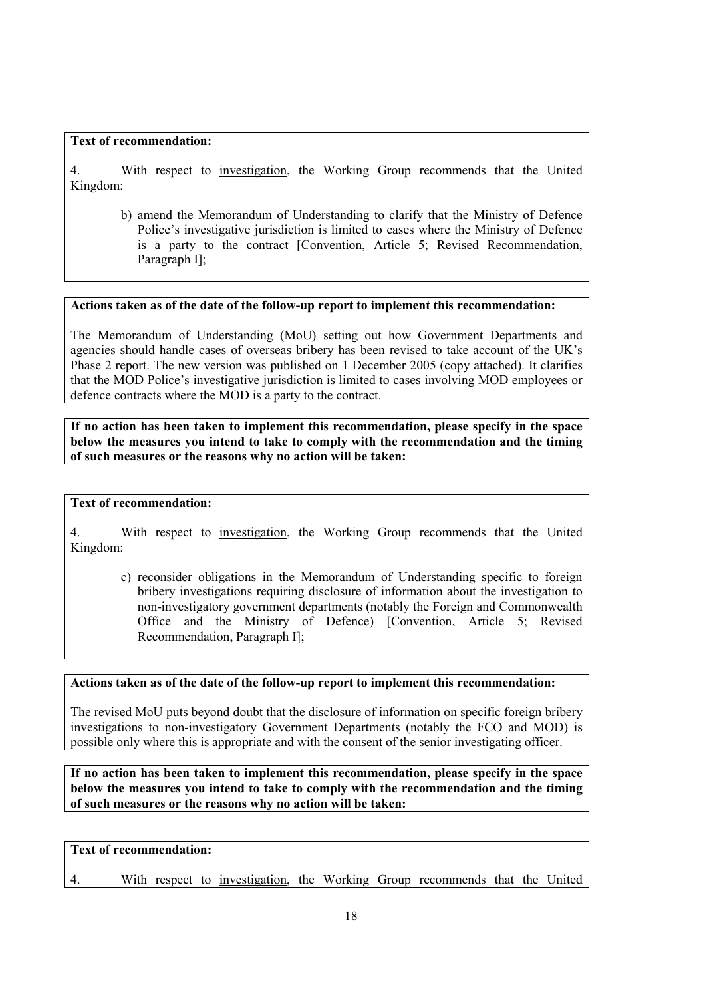### **Text of recommendation:**

4. With respect to investigation, the Working Group recommends that the United Kingdom:

b) amend the Memorandum of Understanding to clarify that the Ministry of Defence Police's investigative jurisdiction is limited to cases where the Ministry of Defence is a party to the contract [Convention, Article 5; Revised Recommendation, Paragraph I];

### **Actions taken as of the date of the follow-up report to implement this recommendation:**

The Memorandum of Understanding (MoU) setting out how Government Departments and agencies should handle cases of overseas bribery has been revised to take account of the UK's Phase 2 report. The new version was published on 1 December 2005 (copy attached). It clarifies that the MOD Police's investigative jurisdiction is limited to cases involving MOD employees or defence contracts where the MOD is a party to the contract.

**If no action has been taken to implement this recommendation, please specify in the space below the measures you intend to take to comply with the recommendation and the timing of such measures or the reasons why no action will be taken:** 

### **Text of recommendation:**

4. With respect to investigation, the Working Group recommends that the United Kingdom:

c) reconsider obligations in the Memorandum of Understanding specific to foreign bribery investigations requiring disclosure of information about the investigation to non-investigatory government departments (notably the Foreign and Commonwealth Office and the Ministry of Defence) [Convention, Article 5; Revised Recommendation, Paragraph I];

### **Actions taken as of the date of the follow-up report to implement this recommendation:**

The revised MoU puts beyond doubt that the disclosure of information on specific foreign bribery investigations to non-investigatory Government Departments (notably the FCO and MOD) is possible only where this is appropriate and with the consent of the senior investigating officer.

**If no action has been taken to implement this recommendation, please specify in the space below the measures you intend to take to comply with the recommendation and the timing of such measures or the reasons why no action will be taken:** 

### **Text of recommendation:**

4. With respect to investigation, the Working Group recommends that the United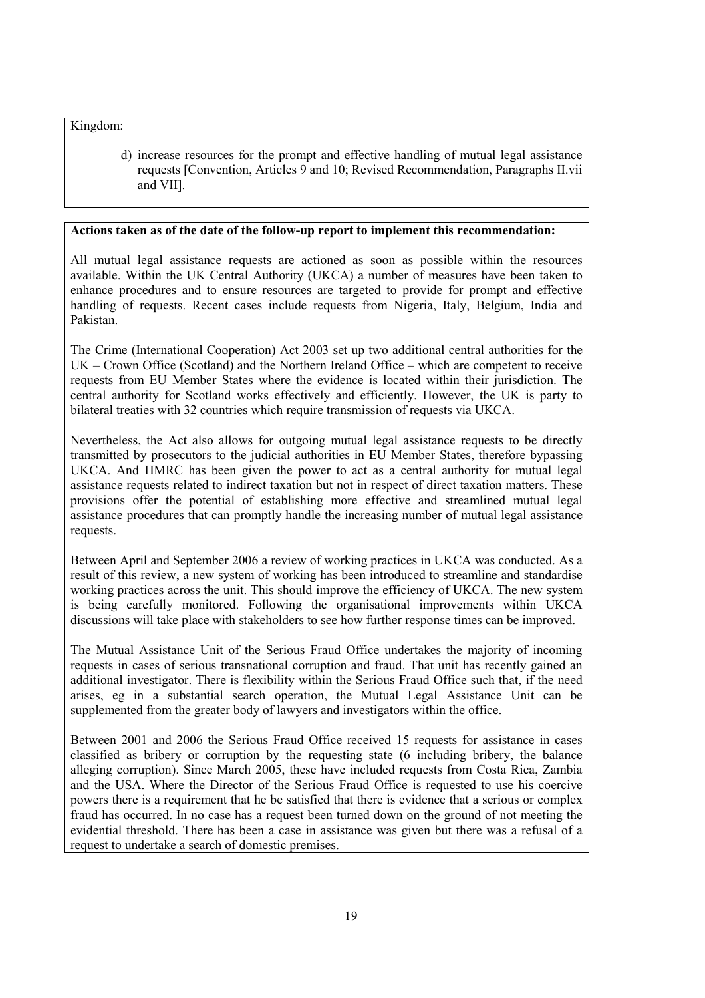Kingdom:

d) increase resources for the prompt and effective handling of mutual legal assistance requests [Convention, Articles 9 and 10; Revised Recommendation, Paragraphs II.vii and VII].

### **Actions taken as of the date of the follow-up report to implement this recommendation:**

All mutual legal assistance requests are actioned as soon as possible within the resources available. Within the UK Central Authority (UKCA) a number of measures have been taken to enhance procedures and to ensure resources are targeted to provide for prompt and effective handling of requests. Recent cases include requests from Nigeria, Italy, Belgium, India and Pakistan.

The Crime (International Cooperation) Act 2003 set up two additional central authorities for the UK – Crown Office (Scotland) and the Northern Ireland Office – which are competent to receive requests from EU Member States where the evidence is located within their jurisdiction. The central authority for Scotland works effectively and efficiently. However, the UK is party to bilateral treaties with 32 countries which require transmission of requests via UKCA.

Nevertheless, the Act also allows for outgoing mutual legal assistance requests to be directly transmitted by prosecutors to the judicial authorities in EU Member States, therefore bypassing UKCA. And HMRC has been given the power to act as a central authority for mutual legal assistance requests related to indirect taxation but not in respect of direct taxation matters. These provisions offer the potential of establishing more effective and streamlined mutual legal assistance procedures that can promptly handle the increasing number of mutual legal assistance requests.

Between April and September 2006 a review of working practices in UKCA was conducted. As a result of this review, a new system of working has been introduced to streamline and standardise working practices across the unit. This should improve the efficiency of UKCA. The new system is being carefully monitored. Following the organisational improvements within UKCA discussions will take place with stakeholders to see how further response times can be improved.

The Mutual Assistance Unit of the Serious Fraud Office undertakes the majority of incoming requests in cases of serious transnational corruption and fraud. That unit has recently gained an additional investigator. There is flexibility within the Serious Fraud Office such that, if the need arises, eg in a substantial search operation, the Mutual Legal Assistance Unit can be supplemented from the greater body of lawyers and investigators within the office.

Between 2001 and 2006 the Serious Fraud Office received 15 requests for assistance in cases classified as bribery or corruption by the requesting state (6 including bribery, the balance alleging corruption). Since March 2005, these have included requests from Costa Rica, Zambia and the USA. Where the Director of the Serious Fraud Office is requested to use his coercive powers there is a requirement that he be satisfied that there is evidence that a serious or complex fraud has occurred. In no case has a request been turned down on the ground of not meeting the evidential threshold. There has been a case in assistance was given but there was a refusal of a request to undertake a search of domestic premises.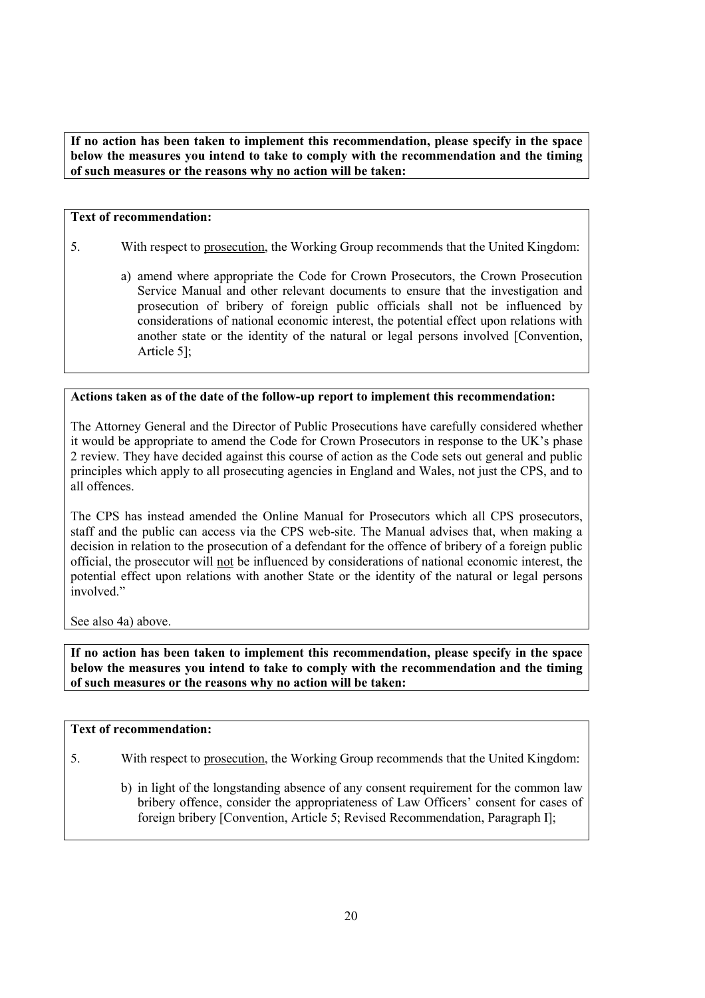**If no action has been taken to implement this recommendation, please specify in the space below the measures you intend to take to comply with the recommendation and the timing of such measures or the reasons why no action will be taken:** 

### **Text of recommendation:**

- 5. With respect to prosecution, the Working Group recommends that the United Kingdom:
	- a) amend where appropriate the Code for Crown Prosecutors, the Crown Prosecution Service Manual and other relevant documents to ensure that the investigation and prosecution of bribery of foreign public officials shall not be influenced by considerations of national economic interest, the potential effect upon relations with another state or the identity of the natural or legal persons involved [Convention, Article 5];

### **Actions taken as of the date of the follow-up report to implement this recommendation:**

The Attorney General and the Director of Public Prosecutions have carefully considered whether it would be appropriate to amend the Code for Crown Prosecutors in response to the UK's phase 2 review. They have decided against this course of action as the Code sets out general and public principles which apply to all prosecuting agencies in England and Wales, not just the CPS, and to all offences.

The CPS has instead amended the Online Manual for Prosecutors which all CPS prosecutors, staff and the public can access via the CPS web-site. The Manual advises that, when making a decision in relation to the prosecution of a defendant for the offence of bribery of a foreign public official, the prosecutor will not be influenced by considerations of national economic interest, the potential effect upon relations with another State or the identity of the natural or legal persons involved."

See also 4a) above.

**If no action has been taken to implement this recommendation, please specify in the space below the measures you intend to take to comply with the recommendation and the timing of such measures or the reasons why no action will be taken:** 

### **Text of recommendation:**

- 5. With respect to prosecution, the Working Group recommends that the United Kingdom:
	- b) in light of the longstanding absence of any consent requirement for the common law bribery offence, consider the appropriateness of Law Officers' consent for cases of foreign bribery [Convention, Article 5; Revised Recommendation, Paragraph I];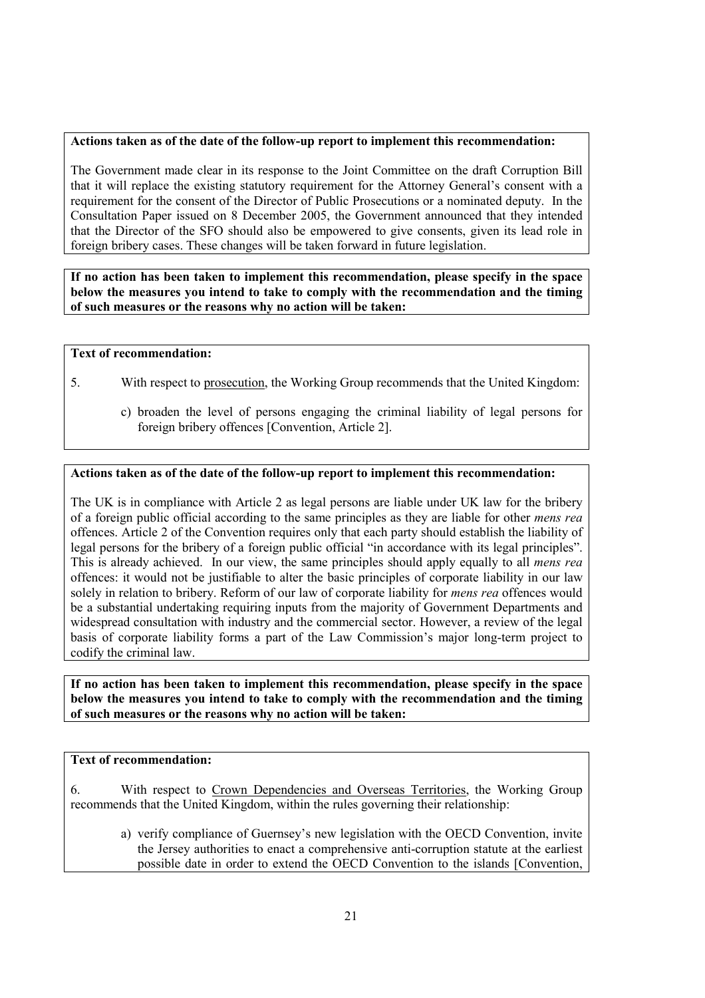### **Actions taken as of the date of the follow-up report to implement this recommendation:**

The Government made clear in its response to the Joint Committee on the draft Corruption Bill that it will replace the existing statutory requirement for the Attorney General's consent with a requirement for the consent of the Director of Public Prosecutions or a nominated deputy. In the Consultation Paper issued on 8 December 2005, the Government announced that they intended that the Director of the SFO should also be empowered to give consents, given its lead role in foreign bribery cases. These changes will be taken forward in future legislation.

**If no action has been taken to implement this recommendation, please specify in the space below the measures you intend to take to comply with the recommendation and the timing of such measures or the reasons why no action will be taken:** 

### **Text of recommendation:**

- 5. With respect to prosecution, the Working Group recommends that the United Kingdom:
	- c) broaden the level of persons engaging the criminal liability of legal persons for foreign bribery offences [Convention, Article 2].

### **Actions taken as of the date of the follow-up report to implement this recommendation:**

The UK is in compliance with Article 2 as legal persons are liable under UK law for the bribery of a foreign public official according to the same principles as they are liable for other *mens rea* offences. Article 2 of the Convention requires only that each party should establish the liability of legal persons for the bribery of a foreign public official "in accordance with its legal principles". This is already achieved. In our view, the same principles should apply equally to all *mens rea* offences: it would not be justifiable to alter the basic principles of corporate liability in our law solely in relation to bribery. Reform of our law of corporate liability for *mens rea* offences would be a substantial undertaking requiring inputs from the majority of Government Departments and widespread consultation with industry and the commercial sector. However, a review of the legal basis of corporate liability forms a part of the Law Commission's major long-term project to codify the criminal law.

**If no action has been taken to implement this recommendation, please specify in the space below the measures you intend to take to comply with the recommendation and the timing of such measures or the reasons why no action will be taken:** 

### **Text of recommendation:**

6. With respect to Crown Dependencies and Overseas Territories, the Working Group recommends that the United Kingdom, within the rules governing their relationship:

a) verify compliance of Guernsey's new legislation with the OECD Convention, invite the Jersey authorities to enact a comprehensive anti-corruption statute at the earliest possible date in order to extend the OECD Convention to the islands [Convention,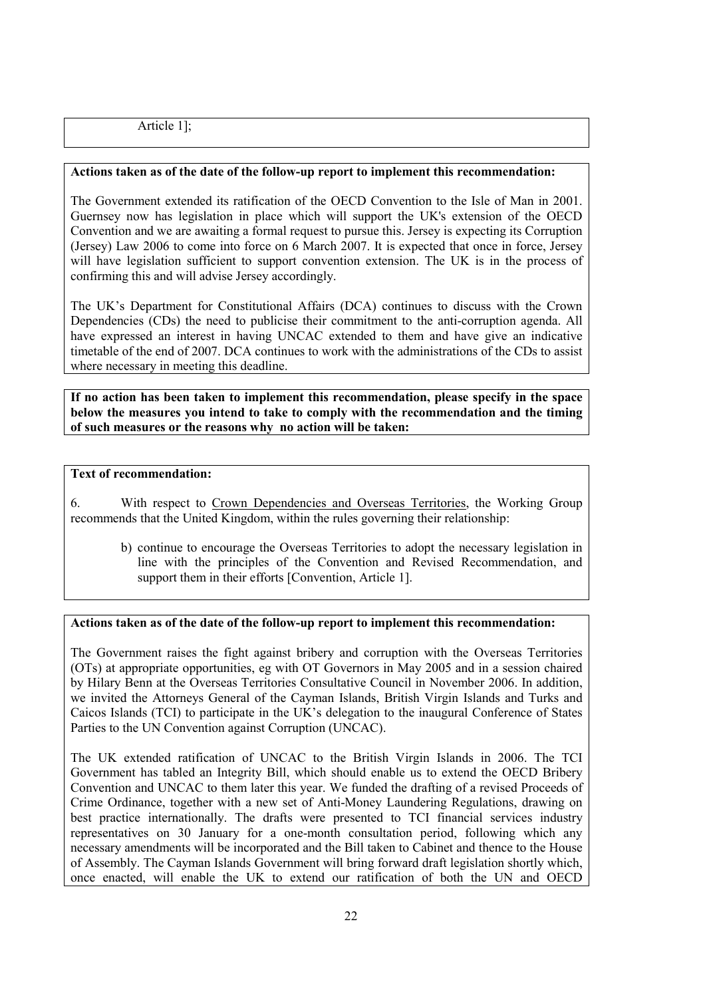Article 1];

### **Actions taken as of the date of the follow-up report to implement this recommendation:**

The Government extended its ratification of the OECD Convention to the Isle of Man in 2001. Guernsey now has legislation in place which will support the UK's extension of the OECD Convention and we are awaiting a formal request to pursue this. Jersey is expecting its Corruption (Jersey) Law 2006 to come into force on 6 March 2007. It is expected that once in force, Jersey will have legislation sufficient to support convention extension. The UK is in the process of confirming this and will advise Jersey accordingly.

The UK's Department for Constitutional Affairs (DCA) continues to discuss with the Crown Dependencies (CDs) the need to publicise their commitment to the anti-corruption agenda. All have expressed an interest in having UNCAC extended to them and have give an indicative timetable of the end of 2007. DCA continues to work with the administrations of the CDs to assist where necessary in meeting this deadline.

**If no action has been taken to implement this recommendation, please specify in the space below the measures you intend to take to comply with the recommendation and the timing of such measures or the reasons why no action will be taken:** 

### **Text of recommendation:**

6. With respect to Crown Dependencies and Overseas Territories, the Working Group recommends that the United Kingdom, within the rules governing their relationship:

b) continue to encourage the Overseas Territories to adopt the necessary legislation in line with the principles of the Convention and Revised Recommendation, and support them in their efforts [Convention, Article 1].

### **Actions taken as of the date of the follow-up report to implement this recommendation:**

The Government raises the fight against bribery and corruption with the Overseas Territories (OTs) at appropriate opportunities, eg with OT Governors in May 2005 and in a session chaired by Hilary Benn at the Overseas Territories Consultative Council in November 2006. In addition, we invited the Attorneys General of the Cayman Islands, British Virgin Islands and Turks and Caicos Islands (TCI) to participate in the UK's delegation to the inaugural Conference of States Parties to the UN Convention against Corruption (UNCAC).

The UK extended ratification of UNCAC to the British Virgin Islands in 2006. The TCI Government has tabled an Integrity Bill, which should enable us to extend the OECD Bribery Convention and UNCAC to them later this year. We funded the drafting of a revised Proceeds of Crime Ordinance, together with a new set of Anti-Money Laundering Regulations, drawing on best practice internationally. The drafts were presented to TCI financial services industry representatives on 30 January for a one-month consultation period, following which any necessary amendments will be incorporated and the Bill taken to Cabinet and thence to the House of Assembly. The Cayman Islands Government will bring forward draft legislation shortly which, once enacted, will enable the UK to extend our ratification of both the UN and OECD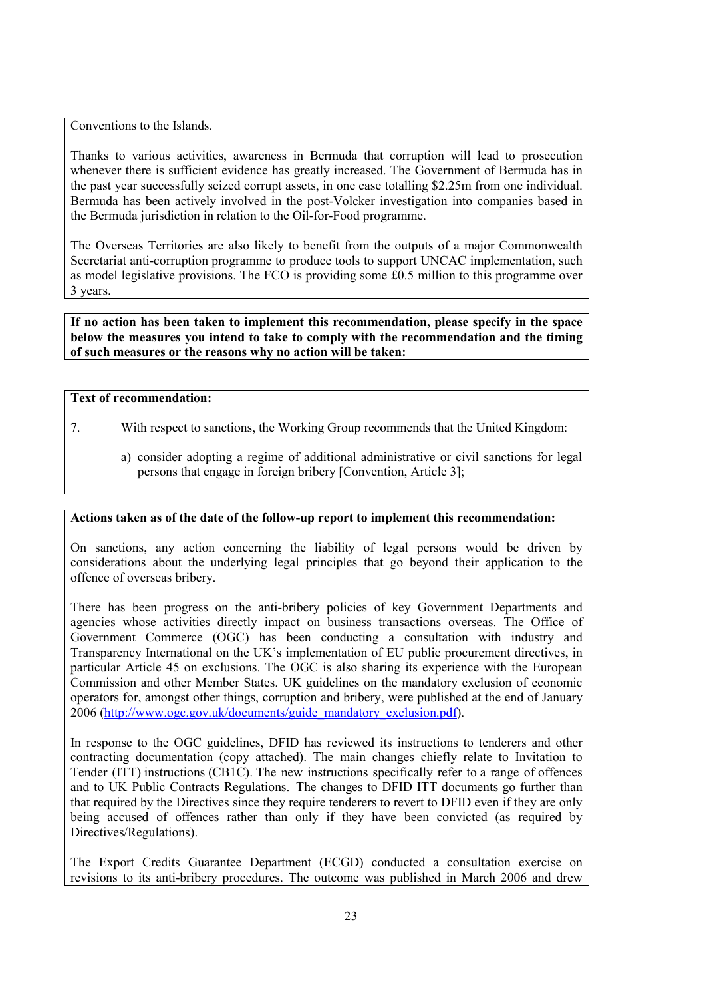Conventions to the Islands.

Thanks to various activities, awareness in Bermuda that corruption will lead to prosecution whenever there is sufficient evidence has greatly increased. The Government of Bermuda has in the past year successfully seized corrupt assets, in one case totalling \$2.25m from one individual. Bermuda has been actively involved in the post-Volcker investigation into companies based in the Bermuda jurisdiction in relation to the Oil-for-Food programme.

The Overseas Territories are also likely to benefit from the outputs of a major Commonwealth Secretariat anti-corruption programme to produce tools to support UNCAC implementation, such as model legislative provisions. The FCO is providing some £0.5 million to this programme over 3 years.

**If no action has been taken to implement this recommendation, please specify in the space below the measures you intend to take to comply with the recommendation and the timing of such measures or the reasons why no action will be taken:** 

### **Text of recommendation:**

- 7. With respect to sanctions, the Working Group recommends that the United Kingdom:
	- a) consider adopting a regime of additional administrative or civil sanctions for legal persons that engage in foreign bribery [Convention, Article 3];

### **Actions taken as of the date of the follow-up report to implement this recommendation:**

On sanctions, any action concerning the liability of legal persons would be driven by considerations about the underlying legal principles that go beyond their application to the offence of overseas bribery.

There has been progress on the anti-bribery policies of key Government Departments and agencies whose activities directly impact on business transactions overseas. The Office of Government Commerce (OGC) has been conducting a consultation with industry and Transparency International on the UK's implementation of EU public procurement directives, in particular Article 45 on exclusions. The OGC is also sharing its experience with the European Commission and other Member States. UK guidelines on the mandatory exclusion of economic operators for, amongst other things, corruption and bribery, were published at the end of January 2006 (http://www.ogc.gov.uk/documents/guide\_mandatory\_exclusion.pdf).

In response to the OGC guidelines, DFID has reviewed its instructions to tenderers and other contracting documentation (copy attached). The main changes chiefly relate to Invitation to Tender (ITT) instructions (CB1C). The new instructions specifically refer to a range of offences and to UK Public Contracts Regulations. The changes to DFID ITT documents go further than that required by the Directives since they require tenderers to revert to DFID even if they are only being accused of offences rather than only if they have been convicted (as required by Directives/Regulations).

The Export Credits Guarantee Department (ECGD) conducted a consultation exercise on revisions to its anti-bribery procedures. The outcome was published in March 2006 and drew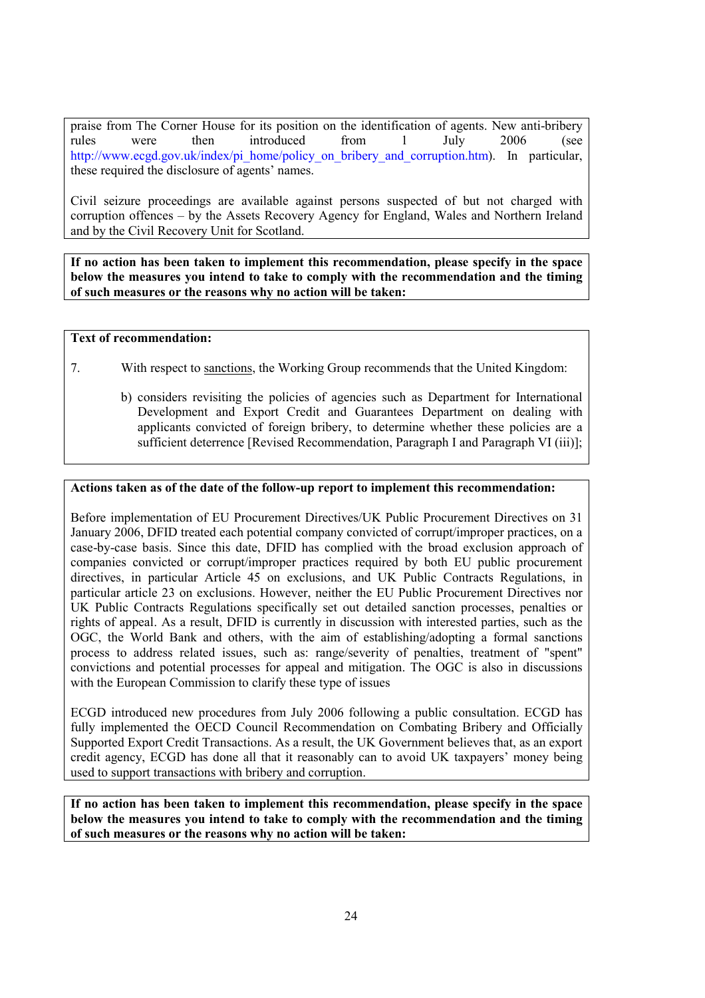praise from The Corner House for its position on the identification of agents. New anti-bribery rules were then introduced from 1 July 2006 (see http://www.ecgd.gov.uk/index/pi\_home/policy\_on\_bribery\_and\_corruption.htm). In particular, these required the disclosure of agents' names.

Civil seizure proceedings are available against persons suspected of but not charged with corruption offences – by the Assets Recovery Agency for England, Wales and Northern Ireland and by the Civil Recovery Unit for Scotland.

**If no action has been taken to implement this recommendation, please specify in the space below the measures you intend to take to comply with the recommendation and the timing of such measures or the reasons why no action will be taken:** 

### **Text of recommendation:**

- 7. With respect to sanctions, the Working Group recommends that the United Kingdom:
	- b) considers revisiting the policies of agencies such as Department for International Development and Export Credit and Guarantees Department on dealing with applicants convicted of foreign bribery, to determine whether these policies are a sufficient deterrence [Revised Recommendation, Paragraph I and Paragraph VI (iii)];

### **Actions taken as of the date of the follow-up report to implement this recommendation:**

Before implementation of EU Procurement Directives/UK Public Procurement Directives on 31 January 2006, DFID treated each potential company convicted of corrupt/improper practices, on a case-by-case basis. Since this date, DFID has complied with the broad exclusion approach of companies convicted or corrupt/improper practices required by both EU public procurement directives, in particular Article 45 on exclusions, and UK Public Contracts Regulations, in particular article 23 on exclusions. However, neither the EU Public Procurement Directives nor UK Public Contracts Regulations specifically set out detailed sanction processes, penalties or rights of appeal. As a result, DFID is currently in discussion with interested parties, such as the OGC, the World Bank and others, with the aim of establishing/adopting a formal sanctions process to address related issues, such as: range/severity of penalties, treatment of "spent" convictions and potential processes for appeal and mitigation. The OGC is also in discussions with the European Commission to clarify these type of issues

ECGD introduced new procedures from July 2006 following a public consultation. ECGD has fully implemented the OECD Council Recommendation on Combating Bribery and Officially Supported Export Credit Transactions. As a result, the UK Government believes that, as an export credit agency, ECGD has done all that it reasonably can to avoid UK taxpayers' money being used to support transactions with bribery and corruption.

**If no action has been taken to implement this recommendation, please specify in the space below the measures you intend to take to comply with the recommendation and the timing of such measures or the reasons why no action will be taken:**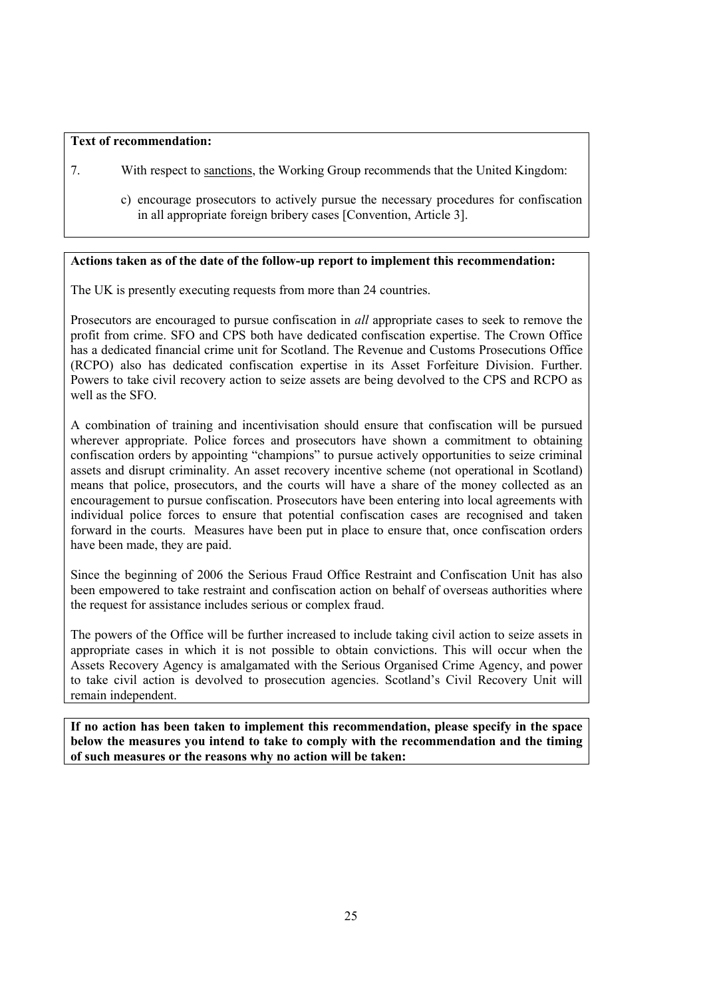### **Text of recommendation:**

- 7. With respect to sanctions, the Working Group recommends that the United Kingdom:
	- c) encourage prosecutors to actively pursue the necessary procedures for confiscation in all appropriate foreign bribery cases [Convention, Article 3].

### **Actions taken as of the date of the follow-up report to implement this recommendation:**

The UK is presently executing requests from more than 24 countries.

Prosecutors are encouraged to pursue confiscation in *all* appropriate cases to seek to remove the profit from crime. SFO and CPS both have dedicated confiscation expertise. The Crown Office has a dedicated financial crime unit for Scotland. The Revenue and Customs Prosecutions Office (RCPO) also has dedicated confiscation expertise in its Asset Forfeiture Division. Further. Powers to take civil recovery action to seize assets are being devolved to the CPS and RCPO as well as the SFO.

A combination of training and incentivisation should ensure that confiscation will be pursued wherever appropriate. Police forces and prosecutors have shown a commitment to obtaining confiscation orders by appointing "champions" to pursue actively opportunities to seize criminal assets and disrupt criminality. An asset recovery incentive scheme (not operational in Scotland) means that police, prosecutors, and the courts will have a share of the money collected as an encouragement to pursue confiscation. Prosecutors have been entering into local agreements with individual police forces to ensure that potential confiscation cases are recognised and taken forward in the courts. Measures have been put in place to ensure that, once confiscation orders have been made, they are paid.

Since the beginning of 2006 the Serious Fraud Office Restraint and Confiscation Unit has also been empowered to take restraint and confiscation action on behalf of overseas authorities where the request for assistance includes serious or complex fraud.

The powers of the Office will be further increased to include taking civil action to seize assets in appropriate cases in which it is not possible to obtain convictions. This will occur when the Assets Recovery Agency is amalgamated with the Serious Organised Crime Agency, and power to take civil action is devolved to prosecution agencies. Scotland's Civil Recovery Unit will remain independent.

**If no action has been taken to implement this recommendation, please specify in the space below the measures you intend to take to comply with the recommendation and the timing of such measures or the reasons why no action will be taken:**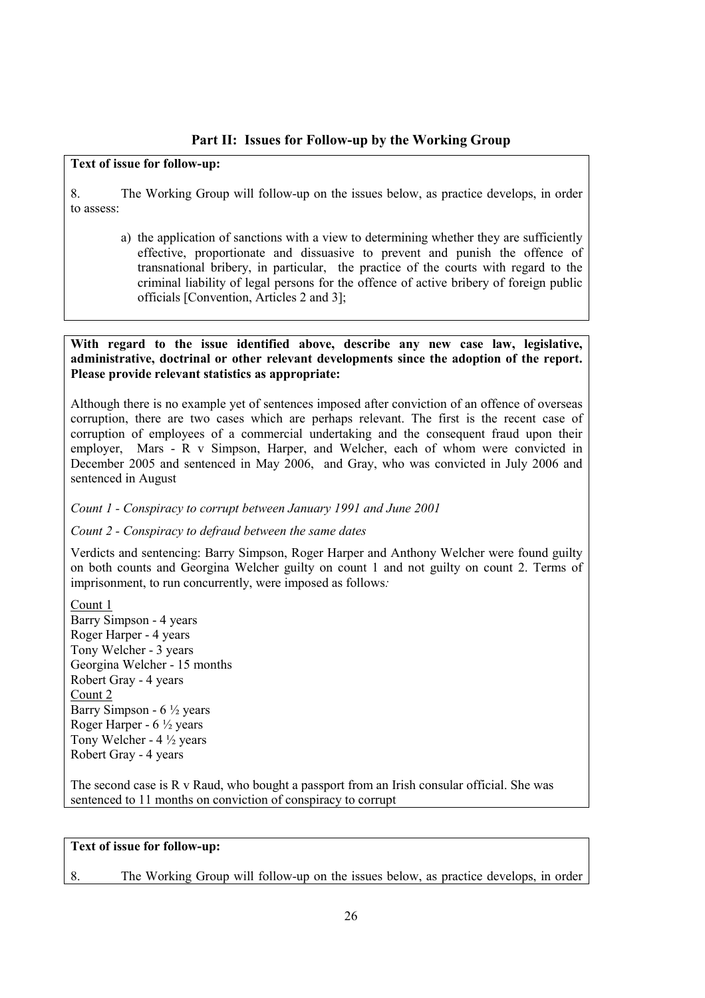### **Part II: Issues for Follow-up by the Working Group**

### **Text of issue for follow-up:**

8. The Working Group will follow-up on the issues below, as practice develops, in order to assess:

a) the application of sanctions with a view to determining whether they are sufficiently effective, proportionate and dissuasive to prevent and punish the offence of transnational bribery, in particular, the practice of the courts with regard to the criminal liability of legal persons for the offence of active bribery of foreign public officials [Convention, Articles 2 and 3];

### **With regard to the issue identified above, describe any new case law, legislative, administrative, doctrinal or other relevant developments since the adoption of the report. Please provide relevant statistics as appropriate:**

Although there is no example yet of sentences imposed after conviction of an offence of overseas corruption, there are two cases which are perhaps relevant. The first is the recent case of corruption of employees of a commercial undertaking and the consequent fraud upon their employer, Mars - R v Simpson, Harper, and Welcher, each of whom were convicted in December 2005 and sentenced in May 2006, and Gray, who was convicted in July 2006 and sentenced in August

*Count 1 - Conspiracy to corrupt between January 1991 and June 2001* 

### *Count 2 - Conspiracy to defraud between the same dates*

Verdicts and sentencing: Barry Simpson, Roger Harper and Anthony Welcher were found guilty on both counts and Georgina Welcher guilty on count 1 and not guilty on count 2. Terms of imprisonment, to run concurrently, were imposed as follows*:* 

Count 1 Barry Simpson - 4 years Roger Harper - 4 years Tony Welcher - 3 years Georgina Welcher - 15 months Robert Gray - 4 years Count 2 Barry Simpson -  $6\frac{1}{2}$  years Roger Harper -  $6\frac{1}{2}$  years Tony Welcher - 4 ½ years Robert Gray - 4 years

The second case is R v Raud, who bought a passport from an Irish consular official. She was sentenced to 11 months on conviction of conspiracy to corrupt

### **Text of issue for follow-up:**

8. The Working Group will follow-up on the issues below, as practice develops, in order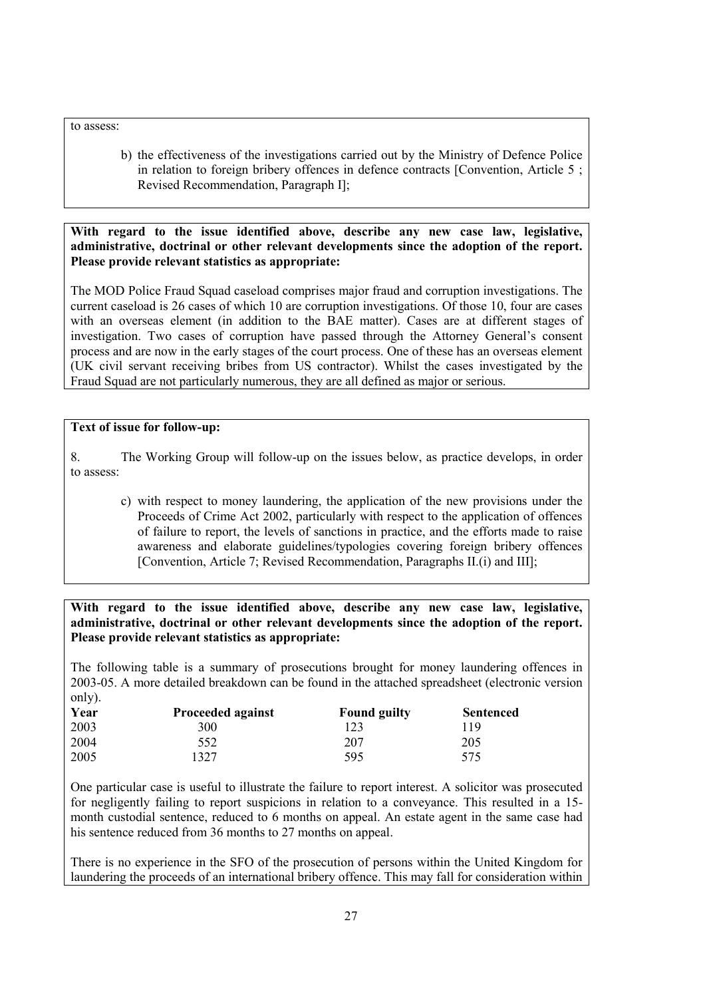to assess:

b) the effectiveness of the investigations carried out by the Ministry of Defence Police in relation to foreign bribery offences in defence contracts [Convention, Article 5 ; Revised Recommendation, Paragraph I];

**With regard to the issue identified above, describe any new case law, legislative, administrative, doctrinal or other relevant developments since the adoption of the report. Please provide relevant statistics as appropriate:** 

The MOD Police Fraud Squad caseload comprises major fraud and corruption investigations. The current caseload is 26 cases of which 10 are corruption investigations. Of those 10, four are cases with an overseas element (in addition to the BAE matter). Cases are at different stages of investigation. Two cases of corruption have passed through the Attorney General's consent process and are now in the early stages of the court process. One of these has an overseas element (UK civil servant receiving bribes from US contractor). Whilst the cases investigated by the Fraud Squad are not particularly numerous, they are all defined as major or serious.

### **Text of issue for follow-up:**

8. The Working Group will follow-up on the issues below, as practice develops, in order to assess:

c) with respect to money laundering, the application of the new provisions under the Proceeds of Crime Act 2002, particularly with respect to the application of offences of failure to report, the levels of sanctions in practice, and the efforts made to raise awareness and elaborate guidelines/typologies covering foreign bribery offences [Convention, Article 7; Revised Recommendation, Paragraphs II.(i) and III];

**With regard to the issue identified above, describe any new case law, legislative, administrative, doctrinal or other relevant developments since the adoption of the report. Please provide relevant statistics as appropriate:** 

The following table is a summary of prosecutions brought for money laundering offences in 2003-05. A more detailed breakdown can be found in the attached spreadsheet (electronic version only).

| Year | <b>Proceeded against</b> | <b>Found guilty</b> | <b>Sentenced</b> |
|------|--------------------------|---------------------|------------------|
| 2003 | 300                      | 123                 | 119              |
| 2004 | 552                      | 207                 | 205              |
| 2005 | 327                      | 595                 | 575              |

One particular case is useful to illustrate the failure to report interest. A solicitor was prosecuted for negligently failing to report suspicions in relation to a conveyance. This resulted in a 15 month custodial sentence, reduced to 6 months on appeal. An estate agent in the same case had his sentence reduced from 36 months to 27 months on appeal.

There is no experience in the SFO of the prosecution of persons within the United Kingdom for laundering the proceeds of an international bribery offence. This may fall for consideration within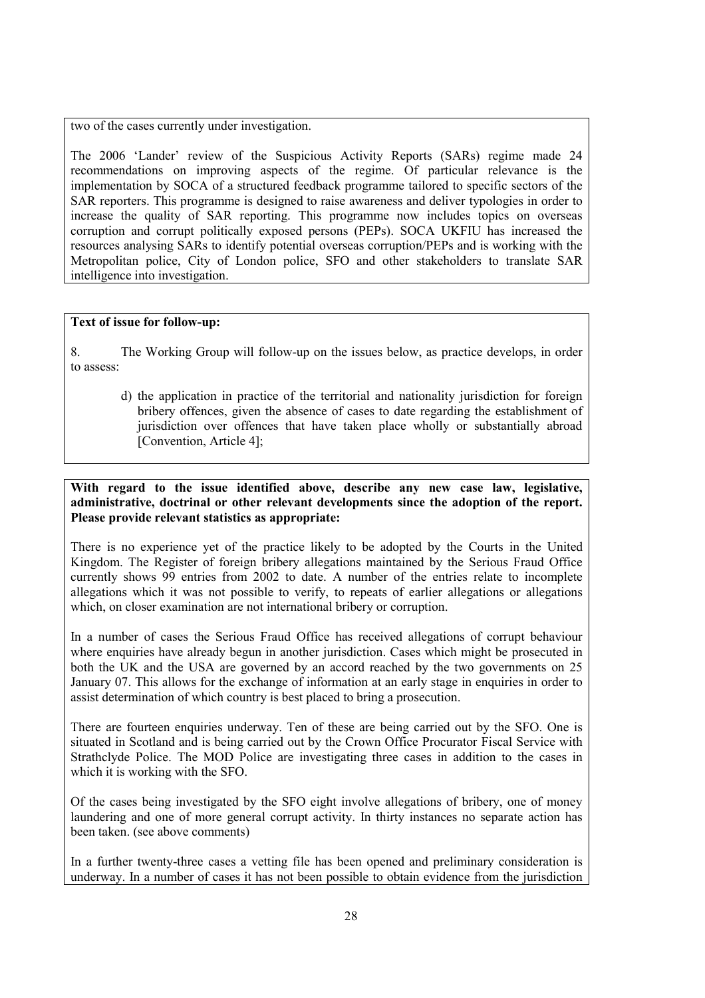two of the cases currently under investigation.

The 2006 'Lander' review of the Suspicious Activity Reports (SARs) regime made 24 recommendations on improving aspects of the regime. Of particular relevance is the implementation by SOCA of a structured feedback programme tailored to specific sectors of the SAR reporters. This programme is designed to raise awareness and deliver typologies in order to increase the quality of SAR reporting. This programme now includes topics on overseas corruption and corrupt politically exposed persons (PEPs). SOCA UKFIU has increased the resources analysing SARs to identify potential overseas corruption/PEPs and is working with the Metropolitan police, City of London police, SFO and other stakeholders to translate SAR intelligence into investigation.

### **Text of issue for follow-up:**

8. The Working Group will follow-up on the issues below, as practice develops, in order to assess:

d) the application in practice of the territorial and nationality jurisdiction for foreign bribery offences, given the absence of cases to date regarding the establishment of jurisdiction over offences that have taken place wholly or substantially abroad [Convention, Article 4];

**With regard to the issue identified above, describe any new case law, legislative, administrative, doctrinal or other relevant developments since the adoption of the report. Please provide relevant statistics as appropriate:** 

There is no experience yet of the practice likely to be adopted by the Courts in the United Kingdom. The Register of foreign bribery allegations maintained by the Serious Fraud Office currently shows 99 entries from 2002 to date. A number of the entries relate to incomplete allegations which it was not possible to verify, to repeats of earlier allegations or allegations which, on closer examination are not international bribery or corruption.

In a number of cases the Serious Fraud Office has received allegations of corrupt behaviour where enquiries have already begun in another jurisdiction. Cases which might be prosecuted in both the UK and the USA are governed by an accord reached by the two governments on 25 January 07. This allows for the exchange of information at an early stage in enquiries in order to assist determination of which country is best placed to bring a prosecution.

There are fourteen enquiries underway. Ten of these are being carried out by the SFO. One is situated in Scotland and is being carried out by the Crown Office Procurator Fiscal Service with Strathclyde Police. The MOD Police are investigating three cases in addition to the cases in which it is working with the SFO.

Of the cases being investigated by the SFO eight involve allegations of bribery, one of money laundering and one of more general corrupt activity. In thirty instances no separate action has been taken. (see above comments)

In a further twenty-three cases a vetting file has been opened and preliminary consideration is underway. In a number of cases it has not been possible to obtain evidence from the jurisdiction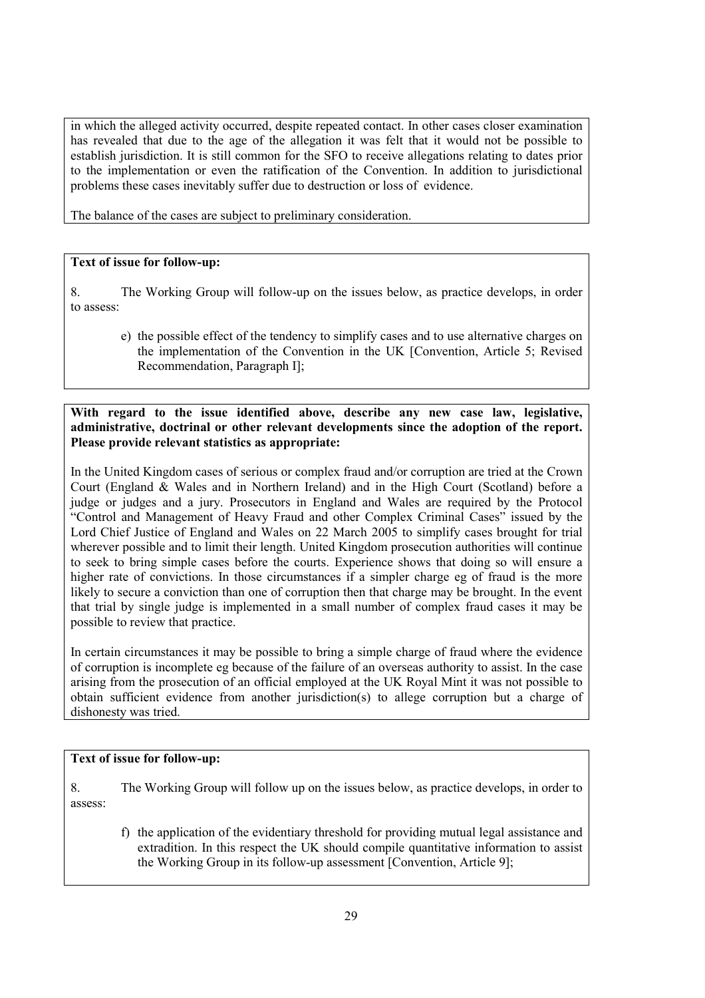in which the alleged activity occurred, despite repeated contact. In other cases closer examination has revealed that due to the age of the allegation it was felt that it would not be possible to establish jurisdiction. It is still common for the SFO to receive allegations relating to dates prior to the implementation or even the ratification of the Convention. In addition to jurisdictional problems these cases inevitably suffer due to destruction or loss of evidence.

The balance of the cases are subject to preliminary consideration.

### **Text of issue for follow-up:**

8. The Working Group will follow-up on the issues below, as practice develops, in order to assess:

e) the possible effect of the tendency to simplify cases and to use alternative charges on the implementation of the Convention in the UK [Convention, Article 5; Revised Recommendation, Paragraph I];

### **With regard to the issue identified above, describe any new case law, legislative, administrative, doctrinal or other relevant developments since the adoption of the report. Please provide relevant statistics as appropriate:**

In the United Kingdom cases of serious or complex fraud and/or corruption are tried at the Crown Court (England & Wales and in Northern Ireland) and in the High Court (Scotland) before a judge or judges and a jury. Prosecutors in England and Wales are required by the Protocol "Control and Management of Heavy Fraud and other Complex Criminal Cases" issued by the Lord Chief Justice of England and Wales on 22 March 2005 to simplify cases brought for trial wherever possible and to limit their length. United Kingdom prosecution authorities will continue to seek to bring simple cases before the courts. Experience shows that doing so will ensure a higher rate of convictions. In those circumstances if a simpler charge eg of fraud is the more likely to secure a conviction than one of corruption then that charge may be brought. In the event that trial by single judge is implemented in a small number of complex fraud cases it may be possible to review that practice.

In certain circumstances it may be possible to bring a simple charge of fraud where the evidence of corruption is incomplete eg because of the failure of an overseas authority to assist. In the case arising from the prosecution of an official employed at the UK Royal Mint it was not possible to obtain sufficient evidence from another jurisdiction(s) to allege corruption but a charge of dishonesty was tried.

### **Text of issue for follow-up:**

8. The Working Group will follow up on the issues below, as practice develops, in order to assess:

f) the application of the evidentiary threshold for providing mutual legal assistance and extradition. In this respect the UK should compile quantitative information to assist the Working Group in its follow-up assessment [Convention, Article 9];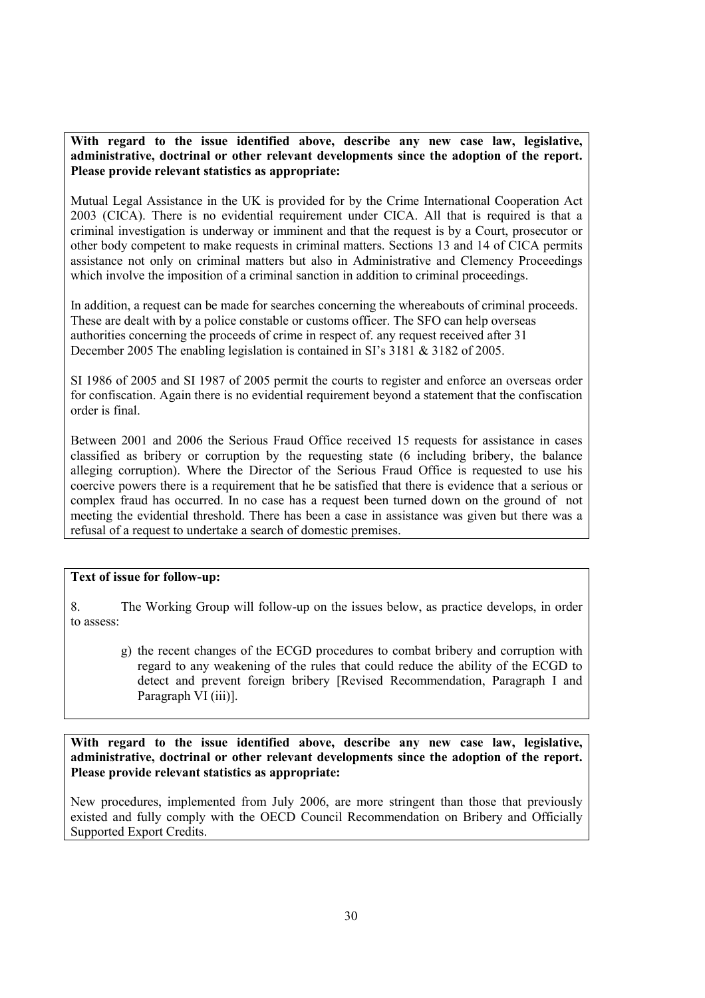**With regard to the issue identified above, describe any new case law, legislative, administrative, doctrinal or other relevant developments since the adoption of the report. Please provide relevant statistics as appropriate:** 

Mutual Legal Assistance in the UK is provided for by the Crime International Cooperation Act 2003 (CICA). There is no evidential requirement under CICA. All that is required is that a criminal investigation is underway or imminent and that the request is by a Court, prosecutor or other body competent to make requests in criminal matters. Sections 13 and 14 of CICA permits assistance not only on criminal matters but also in Administrative and Clemency Proceedings which involve the imposition of a criminal sanction in addition to criminal proceedings.

In addition, a request can be made for searches concerning the whereabouts of criminal proceeds. These are dealt with by a police constable or customs officer. The SFO can help overseas authorities concerning the proceeds of crime in respect of. any request received after 31 December 2005 The enabling legislation is contained in SI's 3181 & 3182 of 2005.

SI 1986 of 2005 and SI 1987 of 2005 permit the courts to register and enforce an overseas order for confiscation. Again there is no evidential requirement beyond a statement that the confiscation order is final.

Between 2001 and 2006 the Serious Fraud Office received 15 requests for assistance in cases classified as bribery or corruption by the requesting state (6 including bribery, the balance alleging corruption). Where the Director of the Serious Fraud Office is requested to use his coercive powers there is a requirement that he be satisfied that there is evidence that a serious or complex fraud has occurred. In no case has a request been turned down on the ground of not meeting the evidential threshold. There has been a case in assistance was given but there was a refusal of a request to undertake a search of domestic premises.

### **Text of issue for follow-up:**

8. The Working Group will follow-up on the issues below, as practice develops, in order to assess:

g) the recent changes of the ECGD procedures to combat bribery and corruption with regard to any weakening of the rules that could reduce the ability of the ECGD to detect and prevent foreign bribery [Revised Recommendation, Paragraph I and Paragraph VI (iii)].

**With regard to the issue identified above, describe any new case law, legislative, administrative, doctrinal or other relevant developments since the adoption of the report. Please provide relevant statistics as appropriate:** 

New procedures, implemented from July 2006, are more stringent than those that previously existed and fully comply with the OECD Council Recommendation on Bribery and Officially Supported Export Credits.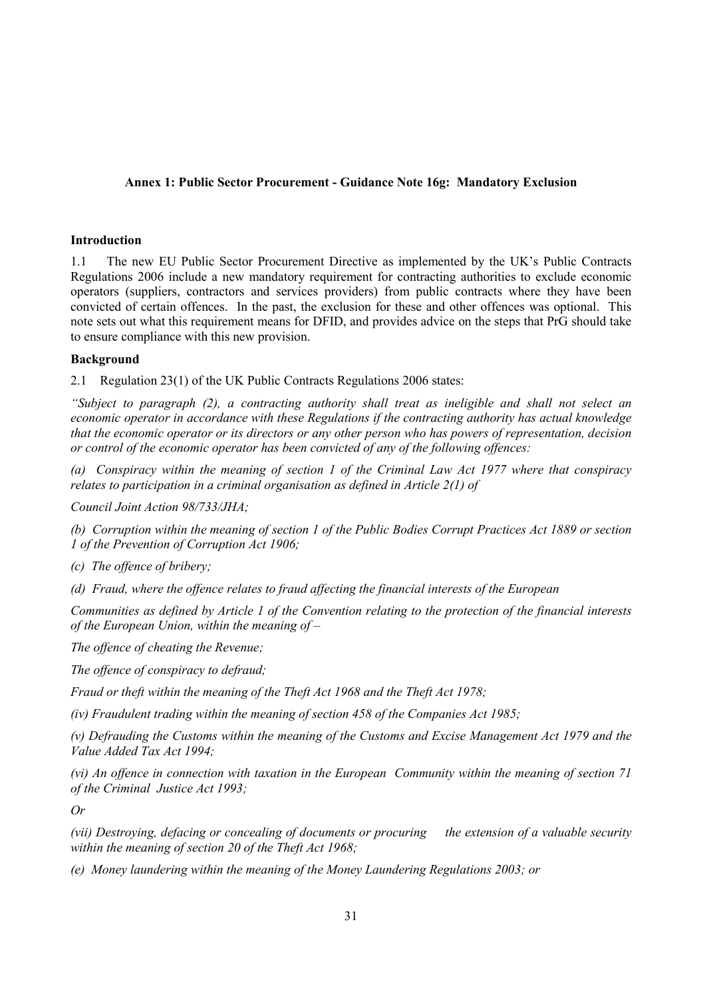### **Annex 1: Public Sector Procurement - Guidance Note 16g: Mandatory Exclusion**

### **Introduction**

1.1 The new EU Public Sector Procurement Directive as implemented by the UK's Public Contracts Regulations 2006 include a new mandatory requirement for contracting authorities to exclude economic operators (suppliers, contractors and services providers) from public contracts where they have been convicted of certain offences. In the past, the exclusion for these and other offences was optional. This note sets out what this requirement means for DFID, and provides advice on the steps that PrG should take to ensure compliance with this new provision.

### **Background**

2.1 Regulation 23(1) of the UK Public Contracts Regulations 2006 states:

*"Subject to paragraph (2), a contracting authority shall treat as ineligible and shall not select an economic operator in accordance with these Regulations if the contracting authority has actual knowledge that the economic operator or its directors or any other person who has powers of representation, decision or control of the economic operator has been convicted of any of the following offences:* 

*(a) Conspiracy within the meaning of section 1 of the Criminal Law Act 1977 where that conspiracy relates to participation in a criminal organisation as defined in Article 2(1) of* 

*Council Joint Action 98/733/JHA;* 

*(b) Corruption within the meaning of section 1 of the Public Bodies Corrupt Practices Act 1889 or section 1 of the Prevention of Corruption Act 1906;* 

*(c) The offence of bribery;* 

*(d) Fraud, where the offence relates to fraud affecting the financial interests of the European* 

*Communities as defined by Article 1 of the Convention relating to the protection of the financial interests of the European Union, within the meaning of –* 

*The offence of cheating the Revenue;* 

*The offence of conspiracy to defraud;* 

*Fraud or theft within the meaning of the Theft Act 1968 and the Theft Act 1978;* 

*(iv) Fraudulent trading within the meaning of section 458 of the Companies Act 1985;* 

*(v) Defrauding the Customs within the meaning of the Customs and Excise Management Act 1979 and the Value Added Tax Act 1994;* 

*(vi) An offence in connection with taxation in the European Community within the meaning of section 71 of the Criminal Justice Act 1993;* 

*Or* 

*(vii) Destroying, defacing or concealing of documents or procuring the extension of a valuable security within the meaning of section 20 of the Theft Act 1968;* 

*(e) Money laundering within the meaning of the Money Laundering Regulations 2003; or*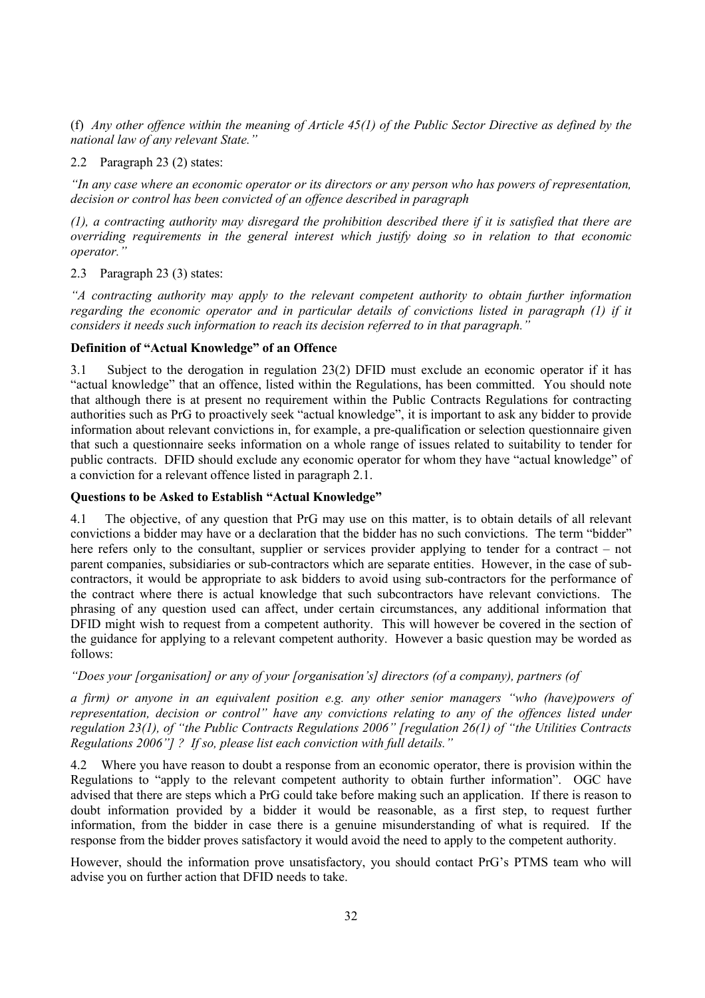(f) *Any other offence within the meaning of Article 45(1) of the Public Sector Directive as defined by the national law of any relevant State."* 

2.2 Paragraph 23 (2) states:

*"In any case where an economic operator or its directors or any person who has powers of representation, decision or control has been convicted of an offence described in paragraph* 

*(1), a contracting authority may disregard the prohibition described there if it is satisfied that there are overriding requirements in the general interest which justify doing so in relation to that economic operator."* 

2.3 Paragraph 23 (3) states:

*"A contracting authority may apply to the relevant competent authority to obtain further information regarding the economic operator and in particular details of convictions listed in paragraph (1) if it considers it needs such information to reach its decision referred to in that paragraph."* 

### **Definition of "Actual Knowledge" of an Offence**

3.1 Subject to the derogation in regulation 23(2) DFID must exclude an economic operator if it has "actual knowledge" that an offence, listed within the Regulations, has been committed. You should note that although there is at present no requirement within the Public Contracts Regulations for contracting authorities such as PrG to proactively seek "actual knowledge", it is important to ask any bidder to provide information about relevant convictions in, for example, a pre-qualification or selection questionnaire given that such a questionnaire seeks information on a whole range of issues related to suitability to tender for public contracts. DFID should exclude any economic operator for whom they have "actual knowledge" of a conviction for a relevant offence listed in paragraph 2.1.

### **Questions to be Asked to Establish "Actual Knowledge"**

4.1 The objective, of any question that PrG may use on this matter, is to obtain details of all relevant convictions a bidder may have or a declaration that the bidder has no such convictions. The term "bidder" here refers only to the consultant, supplier or services provider applying to tender for a contract – not parent companies, subsidiaries or sub-contractors which are separate entities. However, in the case of subcontractors, it would be appropriate to ask bidders to avoid using sub-contractors for the performance of the contract where there is actual knowledge that such subcontractors have relevant convictions. The phrasing of any question used can affect, under certain circumstances, any additional information that DFID might wish to request from a competent authority. This will however be covered in the section of the guidance for applying to a relevant competent authority. However a basic question may be worded as follows:

### *"Does your [organisation] or any of your [organisation's] directors (of a company), partners (of*

*a firm) or anyone in an equivalent position e.g. any other senior managers "who (have)powers of representation, decision or control" have any convictions relating to any of the offences listed under regulation 23(1), of "the Public Contracts Regulations 2006" [regulation 26(1) of "the Utilities Contracts Regulations 2006"] ? If so, please list each conviction with full details."* 

4.2 Where you have reason to doubt a response from an economic operator, there is provision within the Regulations to "apply to the relevant competent authority to obtain further information". OGC have advised that there are steps which a PrG could take before making such an application. If there is reason to doubt information provided by a bidder it would be reasonable, as a first step, to request further information, from the bidder in case there is a genuine misunderstanding of what is required. If the response from the bidder proves satisfactory it would avoid the need to apply to the competent authority.

However, should the information prove unsatisfactory, you should contact PrG's PTMS team who will advise you on further action that DFID needs to take.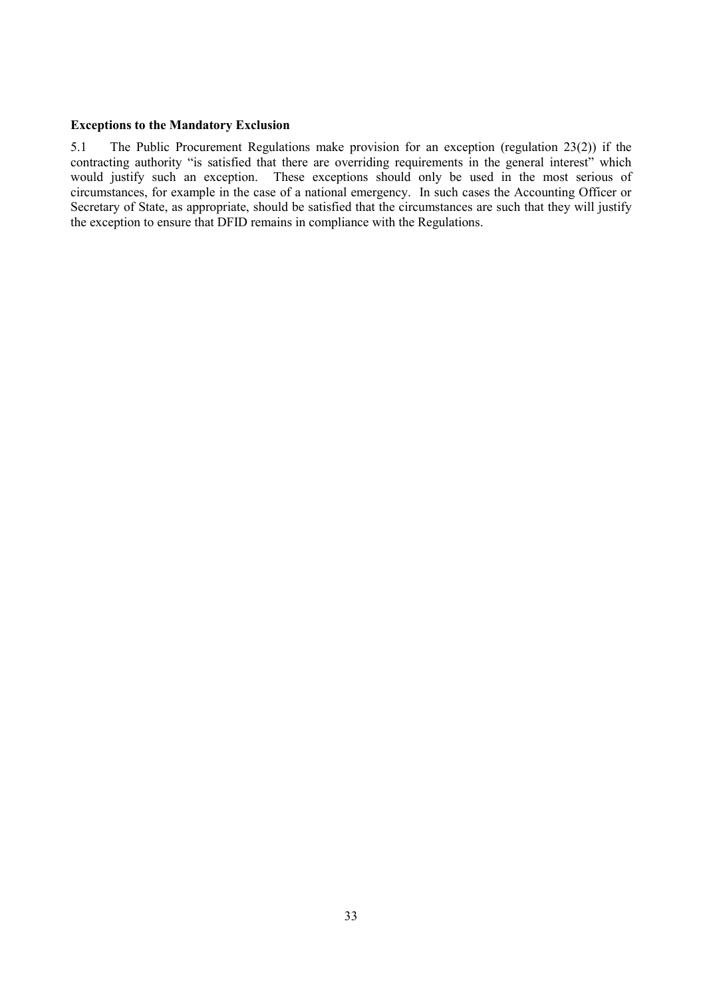### **Exceptions to the Mandatory Exclusion**

5.1 The Public Procurement Regulations make provision for an exception (regulation 23(2)) if the contracting authority "is satisfied that there are overriding requirements in the general interest" which would justify such an exception. These exceptions should only be used in the most serious of circumstances, for example in the case of a national emergency. In such cases the Accounting Officer or Secretary of State, as appropriate, should be satisfied that the circumstances are such that they will justify the exception to ensure that DFID remains in compliance with the Regulations.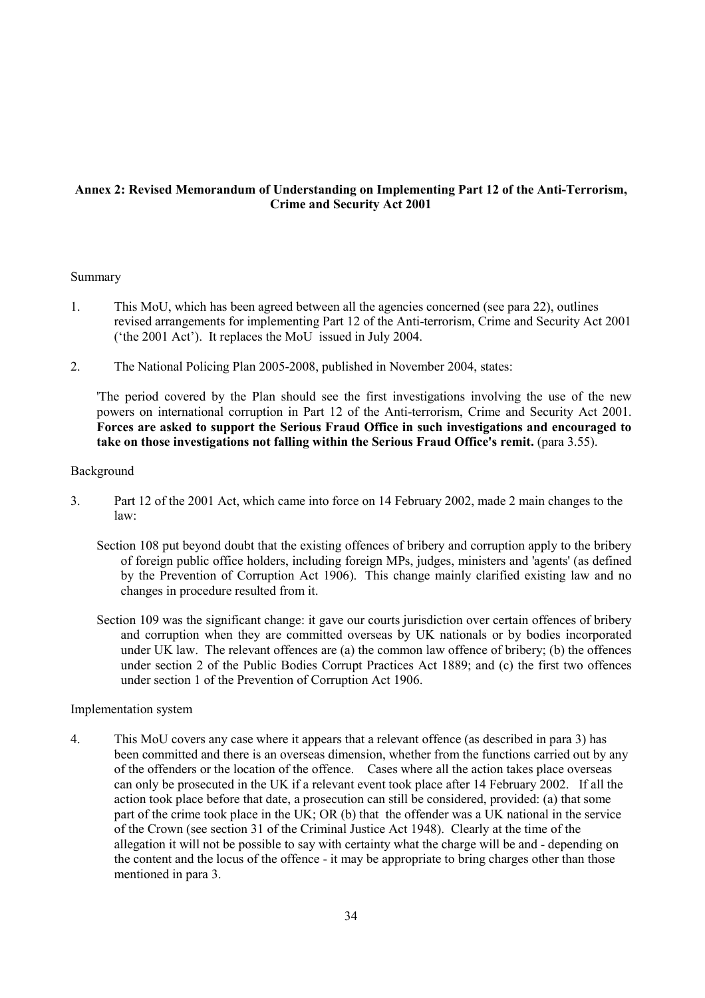### **Annex 2: Revised Memorandum of Understanding on Implementing Part 12 of the Anti-Terrorism, Crime and Security Act 2001**

### Summary

- 1. This MoU, which has been agreed between all the agencies concerned (see para 22), outlines revised arrangements for implementing Part 12 of the Anti-terrorism, Crime and Security Act 2001 ('the 2001 Act'). It replaces the MoU issued in July 2004.
- 2. The National Policing Plan 2005-2008, published in November 2004, states:

'The period covered by the Plan should see the first investigations involving the use of the new powers on international corruption in Part 12 of the Anti-terrorism, Crime and Security Act 2001. **Forces are asked to support the Serious Fraud Office in such investigations and encouraged to take on those investigations not falling within the Serious Fraud Office's remit.** (para 3.55).

### Background

- 3. Part 12 of the 2001 Act, which came into force on 14 February 2002, made 2 main changes to the law:
	- Section 108 put beyond doubt that the existing offences of bribery and corruption apply to the bribery of foreign public office holders, including foreign MPs, judges, ministers and 'agents' (as defined by the Prevention of Corruption Act 1906). This change mainly clarified existing law and no changes in procedure resulted from it.
	- Section 109 was the significant change: it gave our courts jurisdiction over certain offences of bribery and corruption when they are committed overseas by UK nationals or by bodies incorporated under UK law. The relevant offences are (a) the common law offence of bribery; (b) the offences under section 2 of the Public Bodies Corrupt Practices Act 1889; and (c) the first two offences under section 1 of the Prevention of Corruption Act 1906.

### Implementation system

4. This MoU covers any case where it appears that a relevant offence (as described in para 3) has been committed and there is an overseas dimension, whether from the functions carried out by any of the offenders or the location of the offence. Cases where all the action takes place overseas can only be prosecuted in the UK if a relevant event took place after 14 February 2002. If all the action took place before that date, a prosecution can still be considered, provided: (a) that some part of the crime took place in the UK; OR (b) that the offender was a UK national in the service of the Crown (see section 31 of the Criminal Justice Act 1948). Clearly at the time of the allegation it will not be possible to say with certainty what the charge will be and - depending on the content and the locus of the offence - it may be appropriate to bring charges other than those mentioned in para 3.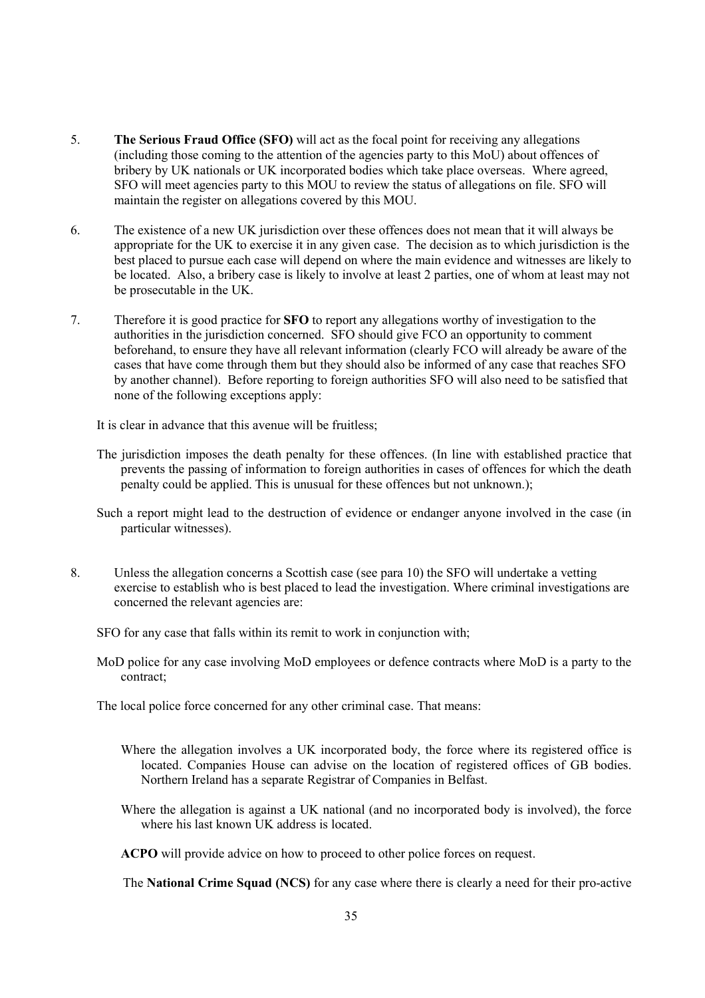- 5. **The Serious Fraud Office (SFO)** will act as the focal point for receiving any allegations (including those coming to the attention of the agencies party to this MoU) about offences of bribery by UK nationals or UK incorporated bodies which take place overseas. Where agreed, SFO will meet agencies party to this MOU to review the status of allegations on file. SFO will maintain the register on allegations covered by this MOU.
- 6. The existence of a new UK jurisdiction over these offences does not mean that it will always be appropriate for the UK to exercise it in any given case. The decision as to which jurisdiction is the best placed to pursue each case will depend on where the main evidence and witnesses are likely to be located. Also, a bribery case is likely to involve at least 2 parties, one of whom at least may not be prosecutable in the UK.
- 7. Therefore it is good practice for **SFO** to report any allegations worthy of investigation to the authorities in the jurisdiction concerned. SFO should give FCO an opportunity to comment beforehand, to ensure they have all relevant information (clearly FCO will already be aware of the cases that have come through them but they should also be informed of any case that reaches SFO by another channel). Before reporting to foreign authorities SFO will also need to be satisfied that none of the following exceptions apply:

It is clear in advance that this avenue will be fruitless;

The jurisdiction imposes the death penalty for these offences. (In line with established practice that prevents the passing of information to foreign authorities in cases of offences for which the death penalty could be applied. This is unusual for these offences but not unknown.);

Such a report might lead to the destruction of evidence or endanger anyone involved in the case (in particular witnesses).

8. Unless the allegation concerns a Scottish case (see para 10) the SFO will undertake a vetting exercise to establish who is best placed to lead the investigation. Where criminal investigations are concerned the relevant agencies are:

SFO for any case that falls within its remit to work in conjunction with;

MoD police for any case involving MoD employees or defence contracts where MoD is a party to the contract;

The local police force concerned for any other criminal case. That means:

- Where the allegation involves a UK incorporated body, the force where its registered office is located. Companies House can advise on the location of registered offices of GB bodies. Northern Ireland has a separate Registrar of Companies in Belfast.
- Where the allegation is against a UK national (and no incorporated body is involved), the force where his last known UK address is located.

**ACPO** will provide advice on how to proceed to other police forces on request.

The **National Crime Squad (NCS)** for any case where there is clearly a need for their pro-active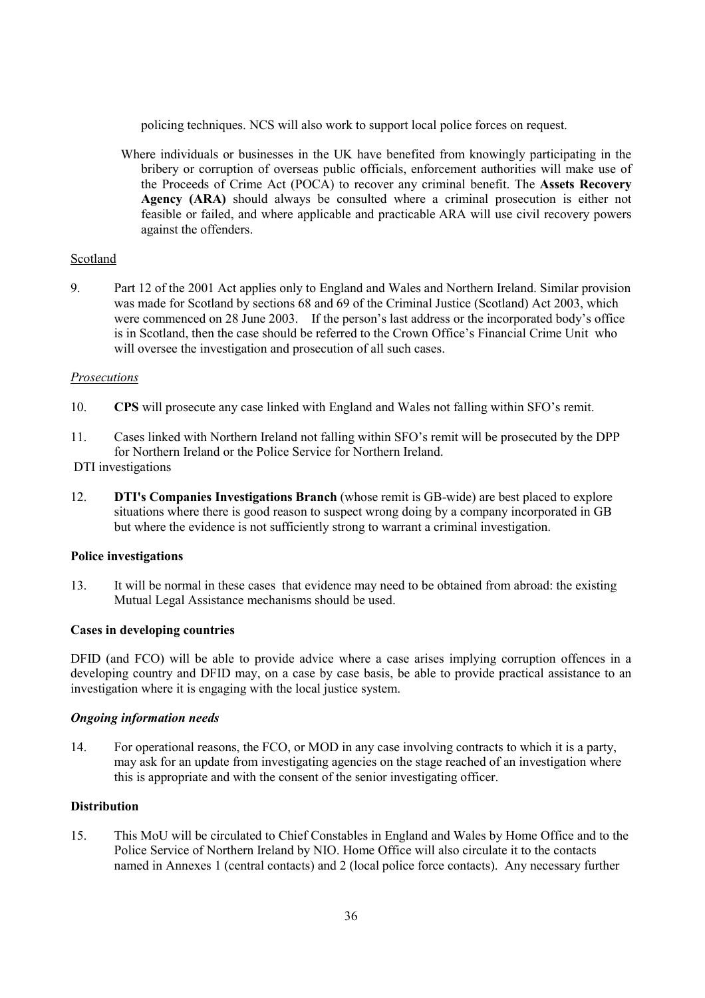policing techniques. NCS will also work to support local police forces on request.

Where individuals or businesses in the UK have benefited from knowingly participating in the bribery or corruption of overseas public officials, enforcement authorities will make use of the Proceeds of Crime Act (POCA) to recover any criminal benefit. The **Assets Recovery Agency (ARA)** should always be consulted where a criminal prosecution is either not feasible or failed, and where applicable and practicable ARA will use civil recovery powers against the offenders.

### Scotland

9. Part 12 of the 2001 Act applies only to England and Wales and Northern Ireland. Similar provision was made for Scotland by sections 68 and 69 of the Criminal Justice (Scotland) Act 2003, which were commenced on 28 June 2003. If the person's last address or the incorporated body's office is in Scotland, then the case should be referred to the Crown Office's Financial Crime Unit who will oversee the investigation and prosecution of all such cases.

### *Prosecutions*

- 10. **CPS** will prosecute any case linked with England and Wales not falling within SFO's remit.
- 11. Cases linked with Northern Ireland not falling within SFO's remit will be prosecuted by the DPP for Northern Ireland or the Police Service for Northern Ireland.
- DTI investigations
- 12. **DTI's Companies Investigations Branch** (whose remit is GB-wide) are best placed to explore situations where there is good reason to suspect wrong doing by a company incorporated in GB but where the evidence is not sufficiently strong to warrant a criminal investigation.

### **Police investigations**

13. It will be normal in these cases that evidence may need to be obtained from abroad: the existing Mutual Legal Assistance mechanisms should be used.

### **Cases in developing countries**

DFID (and FCO) will be able to provide advice where a case arises implying corruption offences in a developing country and DFID may, on a case by case basis, be able to provide practical assistance to an investigation where it is engaging with the local justice system.

### *Ongoing information needs*

14. For operational reasons, the FCO, or MOD in any case involving contracts to which it is a party, may ask for an update from investigating agencies on the stage reached of an investigation where this is appropriate and with the consent of the senior investigating officer.

### **Distribution**

15. This MoU will be circulated to Chief Constables in England and Wales by Home Office and to the Police Service of Northern Ireland by NIO. Home Office will also circulate it to the contacts named in Annexes 1 (central contacts) and 2 (local police force contacts). Any necessary further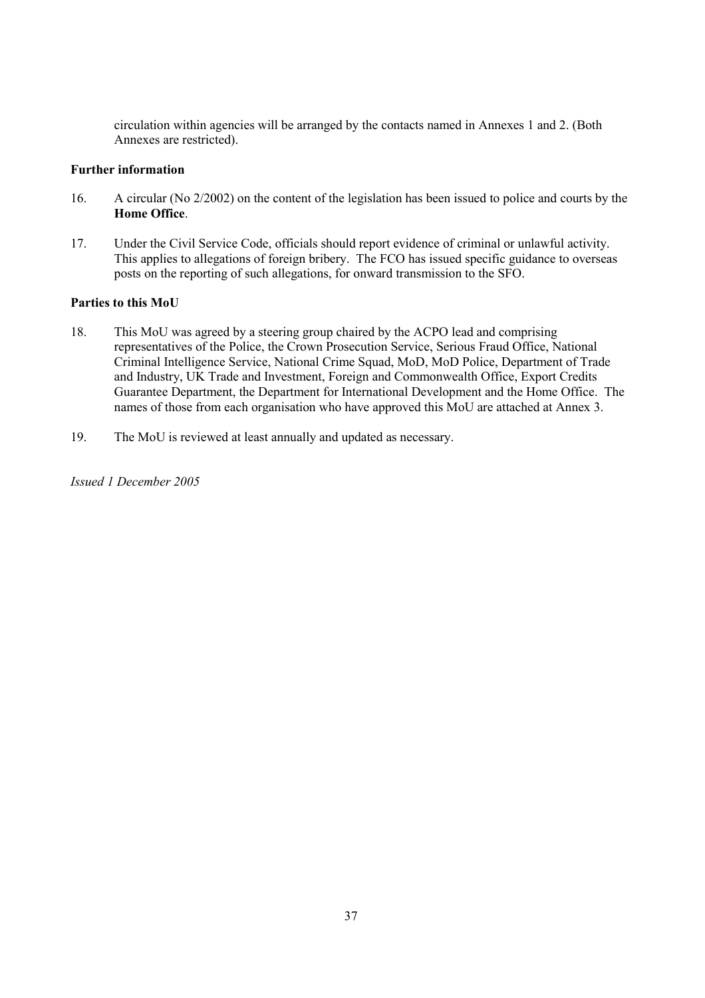circulation within agencies will be arranged by the contacts named in Annexes 1 and 2. (Both Annexes are restricted).

### **Further information**

- 16. A circular (No 2/2002) on the content of the legislation has been issued to police and courts by the **Home Office**.
- 17. Under the Civil Service Code, officials should report evidence of criminal or unlawful activity. This applies to allegations of foreign bribery. The FCO has issued specific guidance to overseas posts on the reporting of such allegations, for onward transmission to the SFO.

### **Parties to this MoU**

- 18. This MoU was agreed by a steering group chaired by the ACPO lead and comprising representatives of the Police, the Crown Prosecution Service, Serious Fraud Office, National Criminal Intelligence Service, National Crime Squad, MoD, MoD Police, Department of Trade and Industry, UK Trade and Investment, Foreign and Commonwealth Office, Export Credits Guarantee Department, the Department for International Development and the Home Office. The names of those from each organisation who have approved this MoU are attached at Annex 3.
- 19. The MoU is reviewed at least annually and updated as necessary.

*Issued 1 December 2005*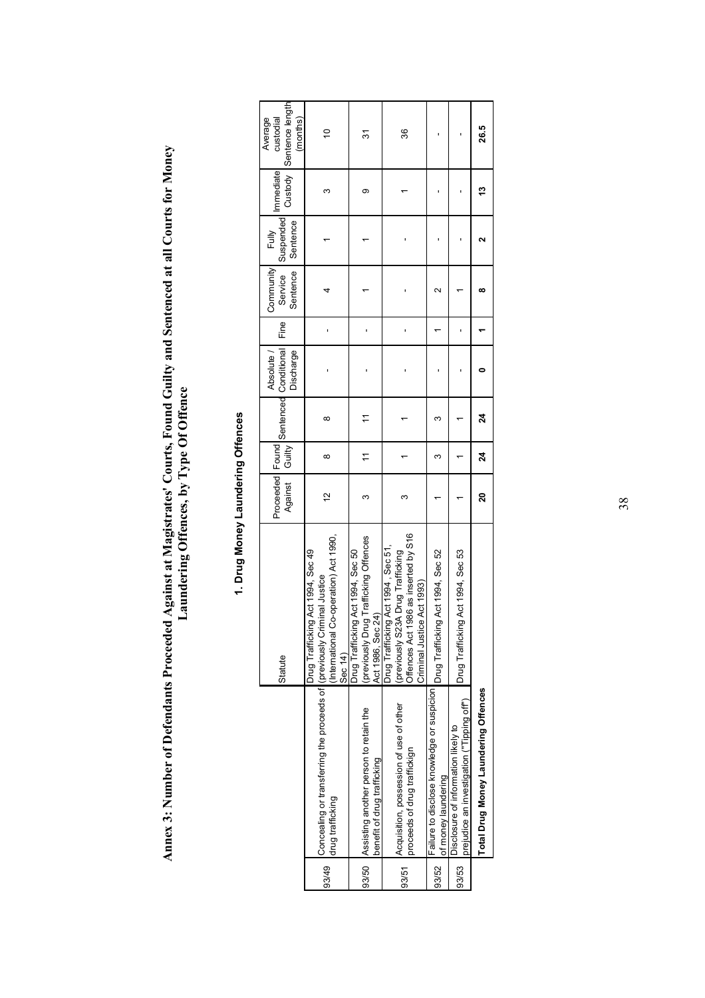Annex 3: Number of Defendants Proceeded Against at Magistrates' Courts, Found Guilty and Sentenced at all Courts for Money<br>Laundering Offences, by Type Of Offence **Annex 3: Number of Defendants Proceeded Against at Magistrates' Courts, Found Guilty and Sentenced at all Courts for Money Laundering Offences, by Type Of Offence** 

|       |                                                                                                     | Statute                                                                                                                                       | Against Guilty |                |    | Proceeded   Found   Sentenced Conditional   Fine  <br>Absolute /<br>Discharge | Community Fully<br>Sentence<br>Service | Suspended<br>Sentence | Immediate | Custody Sentence length<br>(months)<br>custodial<br>Average |
|-------|-----------------------------------------------------------------------------------------------------|-----------------------------------------------------------------------------------------------------------------------------------------------|----------------|----------------|----|-------------------------------------------------------------------------------|----------------------------------------|-----------------------|-----------|-------------------------------------------------------------|
| 93/49 | Concealing or transferring the proceeds of (previously Criminal Justice<br>drug trafficking         | International Co-operation) Act 1990,<br>Drug Trafficking Act 1994, Sec 49<br><b>Sec 14)</b>                                                  | $\tilde{c}$    | ∞              | ∞  |                                                                               |                                        |                       | ω         | $\frac{1}{2}$                                               |
| 93/50 | Assisting another person to retain the<br>benefit of drug trafficking                               | (previously Drug Trafficking Offences<br>Drug Trafficking Act 1994, Sec 50<br>Act 1986, Sec 24)                                               |                |                | 7  |                                                                               |                                        |                       | တ         | 31                                                          |
| 93/51 | Acquisition, possession of use of other<br>proceeds of drug traffickign                             | Offences Act 1986 as inserted by S16<br>Drug Trafficking Act 1994, Sec 51,<br>(previously S23A Drug Trafficking<br>Criminal Justice Act 1993) | ო              |                |    |                                                                               |                                        |                       |           | 36                                                          |
| 93/52 | Failure to disclose knowledge or suspicion Drug Trafficking Act 1994, Sec 52<br>of money laundering |                                                                                                                                               |                |                | ∞  |                                                                               | $\scriptstyle\sim$                     |                       |           |                                                             |
| 93/53 | prejudice an investigation ("Tipping off")<br>Disclosure of information likely to                   | Drug Trafficking Act 1994, Sec 53                                                                                                             |                |                |    |                                                                               |                                        |                       |           |                                                             |
|       | Total Drug Money Laundering Offences                                                                |                                                                                                                                               | ន              | $\overline{a}$ | 24 |                                                                               | œ                                      |                       | م.<br>با  | 26.5                                                        |

# 1. Drug Money Laundering Offences **1. Drug Money Laundering Offences**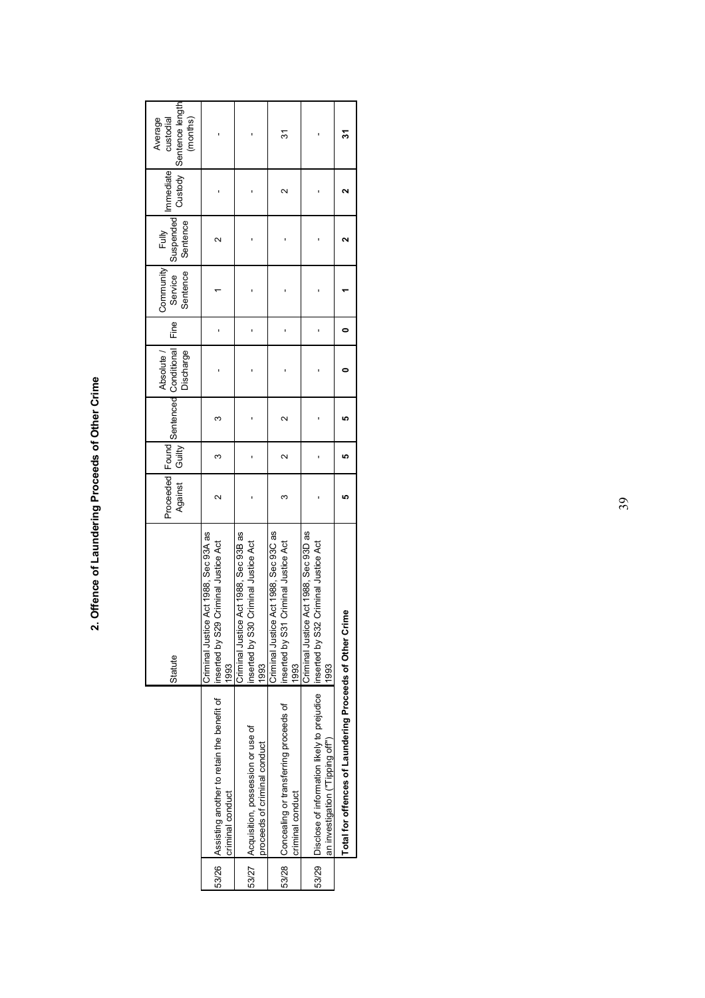| ׇׇ֘֕<br>I<br>!<br>: |
|---------------------|
|                     |
|                     |
|                     |
|                     |
|                     |
| ı                   |

|                                                                                                                             | Statute                                                                                  | Against Guilty |                      |                   | Proceeded   Found   Sentenced Conditional  <br>Absolute /<br>Discharge | Fine | Service Suspended mimediate<br>Community Fully<br><b>Sentence</b> | Sentence |                   | Custody Sentence length<br>(months)<br>custodial<br>Average |
|-----------------------------------------------------------------------------------------------------------------------------|------------------------------------------------------------------------------------------|----------------|----------------------|-------------------|------------------------------------------------------------------------|------|-------------------------------------------------------------------|----------|-------------------|-------------------------------------------------------------|
| 53/26 Assisting another to retain the benefit of linserted by S29 Criminal Justice Act<br>criminal conduct                  | Criminal Justice Act 1988, Sec 93A as<br>1993                                            |                | 3                    | ω                 |                                                                        |      |                                                                   | $\sim$   |                   |                                                             |
| 53/27 Acquisition, possession or use of<br>proceeds of criminal conduct                                                     | Criminal Justice Act 1988, Sec 93B as<br>inserted by S30 Criminal Justice Act<br>1993    |                |                      |                   |                                                                        |      |                                                                   |          |                   |                                                             |
| 53/28 Concealing or transferring proceeds of<br>criminal conduct                                                            | Criminal Justice Act 1988, Sec 93C as<br>Criminal Justice Act<br>inserted by S31<br>1993 |                | $\mathbf{\tilde{c}}$ | $\mathbf{\Omega}$ |                                                                        |      |                                                                   |          | $\mathbf{\Omega}$ | 31                                                          |
| 53/29 Disclose of information likely to prejudice linserted by S32 Criminal Justice Act<br>an investigation ("Tipping off") | Criminal Justice Act 1988, Sec 93D as<br>1993                                            |                |                      |                   |                                                                        |      |                                                                   |          |                   |                                                             |
| Total for offences of Laundering Proceeds of Other Cri                                                                      | Îme                                                                                      | L٥             | ۱Ω                   |                   |                                                                        |      |                                                                   |          |                   |                                                             |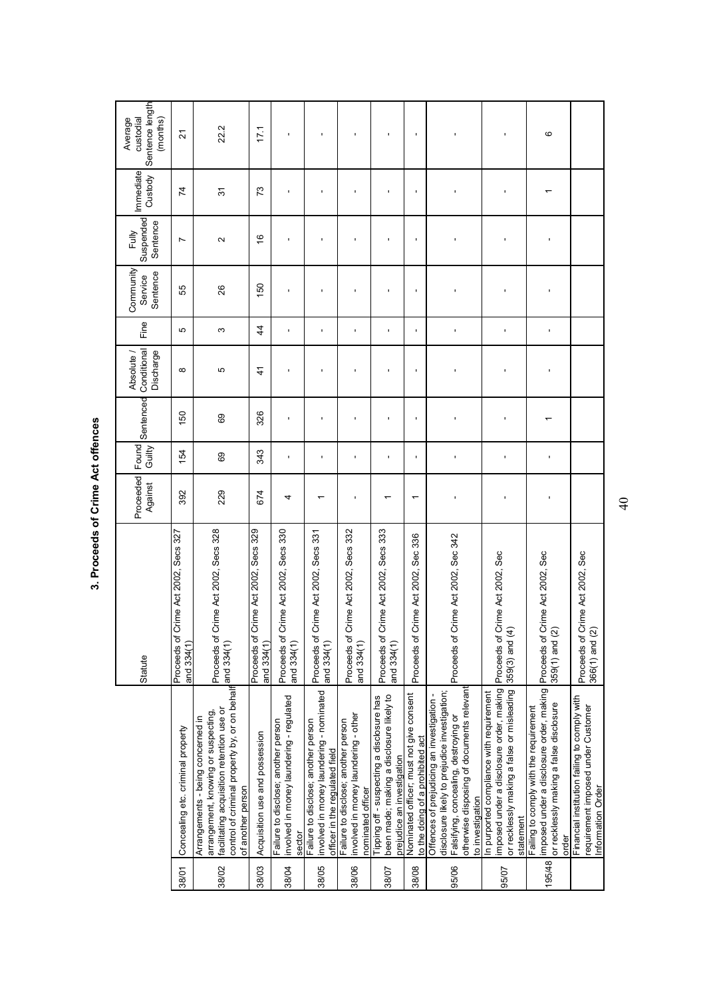| $\vdots$ |
|----------|
|          |
| J        |
|          |

| Sentence length<br>custodial<br>Average<br>(months) | 21                                                      | 22.2                                                                                                                                                                                                   | 171                                                    |                                                                                           |                                                                                                                   |                                                                                                  |                                                                                                                     |                                                                              |                                                                                                                                                                                                     |                                                                                                                                                 | ဖ                                                                                                                                      |                                                                                                         |
|-----------------------------------------------------|---------------------------------------------------------|--------------------------------------------------------------------------------------------------------------------------------------------------------------------------------------------------------|--------------------------------------------------------|-------------------------------------------------------------------------------------------|-------------------------------------------------------------------------------------------------------------------|--------------------------------------------------------------------------------------------------|---------------------------------------------------------------------------------------------------------------------|------------------------------------------------------------------------------|-----------------------------------------------------------------------------------------------------------------------------------------------------------------------------------------------------|-------------------------------------------------------------------------------------------------------------------------------------------------|----------------------------------------------------------------------------------------------------------------------------------------|---------------------------------------------------------------------------------------------------------|
| Immediate<br>Custody                                | $\overline{7}$                                          | $\overline{3}$                                                                                                                                                                                         | 73                                                     |                                                                                           |                                                                                                                   |                                                                                                  | J.                                                                                                                  | J.                                                                           |                                                                                                                                                                                                     | Ţ                                                                                                                                               |                                                                                                                                        |                                                                                                         |
| Suspended<br>Sentence<br>Fully                      | L                                                       | $\sim$                                                                                                                                                                                                 | $\frac{6}{5}$                                          |                                                                                           |                                                                                                                   |                                                                                                  |                                                                                                                     |                                                                              |                                                                                                                                                                                                     | J.                                                                                                                                              | ı                                                                                                                                      |                                                                                                         |
| Community<br>Sentence<br>Service                    | 55                                                      | 26                                                                                                                                                                                                     | 150                                                    |                                                                                           |                                                                                                                   |                                                                                                  |                                                                                                                     |                                                                              |                                                                                                                                                                                                     | J.                                                                                                                                              |                                                                                                                                        |                                                                                                         |
| Fine                                                | 5                                                       | S                                                                                                                                                                                                      | 4                                                      |                                                                                           |                                                                                                                   |                                                                                                  | ı                                                                                                                   |                                                                              |                                                                                                                                                                                                     | ı                                                                                                                                               |                                                                                                                                        |                                                                                                         |
| Conditional<br>Absolute /<br>Discharge              | $\infty$                                                | 5                                                                                                                                                                                                      | $\frac{4}{3}$                                          |                                                                                           |                                                                                                                   |                                                                                                  |                                                                                                                     | л                                                                            |                                                                                                                                                                                                     | J.                                                                                                                                              | ٠                                                                                                                                      |                                                                                                         |
| Sentenced                                           | SO                                                      | 89                                                                                                                                                                                                     | 326                                                    |                                                                                           |                                                                                                                   |                                                                                                  | J.                                                                                                                  | J.                                                                           | I,                                                                                                                                                                                                  | Ţ                                                                                                                                               |                                                                                                                                        |                                                                                                         |
| Found<br>Guilty                                     | 54                                                      | 89                                                                                                                                                                                                     | 343                                                    |                                                                                           |                                                                                                                   |                                                                                                  |                                                                                                                     |                                                                              |                                                                                                                                                                                                     |                                                                                                                                                 | J.                                                                                                                                     |                                                                                                         |
| Proceeded<br>Against                                | 392                                                     | 229                                                                                                                                                                                                    | 674                                                    | 4                                                                                         |                                                                                                                   |                                                                                                  |                                                                                                                     | ᡪ                                                                            |                                                                                                                                                                                                     | ı                                                                                                                                               |                                                                                                                                        |                                                                                                         |
| Statute                                             | rime Act 2002, Secs 327<br>Proceeds of Cr<br>and 334(1) | rime Act 2002, Secs 328<br>Proceeds of Ci                                                                                                                                                              | ime Act 2002, Secs 329<br>Proceeds of Ci<br>and 334(1) | Secs 330<br>Proceeds of Crime Act 2002,<br>and 334(1)                                     | rime Act 2002, Secs 331<br>Proceeds of C<br>and 334(1)                                                            | rime Act 2002, Secs 332<br>Proceeds of Ci<br>and 334(1)                                          | rime Act 2002, Secs 333<br>Proceeds of Ci<br>and 334(1)                                                             | Sec 336<br>rime Act 2002,<br>Proceeds of Cr                                  | Proceeds of Crime Act 2002, Sec 342                                                                                                                                                                 | Proceeds of Crime Act 2002, Sec<br>$359(3)$ and $(4)$                                                                                           | rime Act 2002, Sec<br>Proceeds of Cr<br>$359(1)$ and $(2)$                                                                             | Proceeds of Crime Act 2002, Sec<br>$366(1)$ and $(2)$                                                   |
|                                                     | Concealing etc. criminal property                       | control of criminal property by, or on behalf and 334(1)<br>facilitating acquisition retention use or<br>arrangement, knowing or suspecting,<br>Arrangements - being concerned in<br>of another person | Acquisition use and possession                         | involved in money laundering - regulated<br>Failure to disclose; another person<br>sector | involved in money laundering - nominated<br>Failure to disclose; another person<br>officer in the regulated field | involved in money laundering - other<br>Failure to disclose; another person<br>nominated officer | been made; making a disclosure likely to<br>Tipping off - suspecting a disclosure has<br>prejudice an investigation | Nominated officer; must not give consent<br>to the doing of a prohibited act | otherwise disposing of documents relevant<br>disclosure likely to prejudice investigation;<br>Offences of prejudicing an investigation<br>Falsifying, concealing, destroying or<br>to investigation | imposed under a disclosure order, making<br>or recklessly making a false or misleading<br>In purported compliance with requirement<br>statement | imposed under a disclosure order, making<br>or recklessly making a false disclosure<br>Failing to comply with the requirement<br>order | Financial institution failing to comply with<br>requirement imposed under Customer<br>Information Order |
|                                                     | 38/01                                                   | 38/02                                                                                                                                                                                                  | 38/03                                                  | 38/04                                                                                     | 38/05                                                                                                             | 38/06                                                                                            | 38/07                                                                                                               | 38/08                                                                        | 95/06                                                                                                                                                                                               | 95/07                                                                                                                                           | 195/48                                                                                                                                 |                                                                                                         |

 $40$  $\frac{4}{100}$